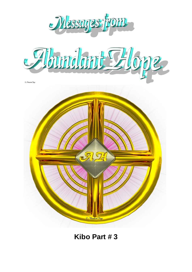

**Kibo Part # 3**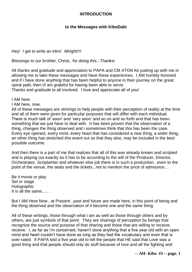## **INTRODUCTION**

## **to the Messages with KiboDabi**

Hey! I get to write an intro! Allright!!!!

Blessings to our brother, Christ., for doing this...Thanks!

All thanks and gratitude and appreciation to PAPA and CM ATON for putting up with me in allowing me to take these messages and have these experiences. I AM humbly honored and if i have done anything that has been helpful to anyone in their journey on the great spiral path, then i/I am grateful for having been able to serve.

Thanks and gratitude to all involved. I love and appreciate all of you!

I AM here.

I AM here, now.

All of these messages are strivings to help people with their perception of reality at the time and all of them were given for particular purposes that will differ with each individual. There is much talk of 'soon' and 'very soon' and so on and so forth and that has been something that we just have to deal with. It has been proven that the observation of a thing, changes the thing observed and i sometimes think that this has been the case. Every eye opened, every mind, every heart that has considered a new thing, a wider thing, an other thing has stretched this event out so that they also, may be included in the best possible outcome.

And then there is a part of me that realizes that all of this was already known and scripted and is playing out exactly as it has to be according to the will of the Producer, Director, Orchestrator, Scriptwriter and whatever else job there is in such a production...even to the point of the venue, the seats and the tickets...not to mention the price of admission....

Be it movie or play Set or stage **Holographic** It is all the same......

But I AM Here Now...at Present...past and future are made here, in this point of being and the thing observed and the observation of it become one and the same thing.

All of these writings, those through what i am as well as those through others and by others, are just symbols of that point. They are sharings of perception by beings that recognize the source and purpose of that sharing and those that are willing to receive, receive. I, as far as i'm concerned, haven't done anything that a five year old with an open mind and heart couldn't have done as long as they had the vocabulary and even that is over-rated. If PAPA told a five year old to tell the people that HE said that Love was a good thing and that people should only do stuff because of love and all the fighting and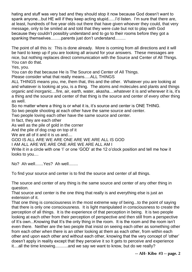hating and stuff was very bad and they should stop it now because God doesn't want to spank anyone...but HE will if they keep acting stupid......I'd listen. I'm sure that there are, at least, hundreds of five year olds out there that have given whoever they could, that very message, only to be smiled at and told that they were cute but not to play with God because they couldn't possibly understand and to go to their rooms before they got a spanking themselves.........parents just don't understand.........

The point of all this is: This is done already. More is coming from all directions and it will be hard to keep up if you are looking all around for your answers. These messages are nice, but nothing replaces direct communication with the Source and Center of All Things. You can do that.

Yes, you.

You can do that because He is The Source and Center of All Things.

Please consider what that really means.....ALL THINGS

ALL THINGS means you, me, them that, this and the other. Whatever you are looking at and whatever is looking at you, is a thing. The atoms and molecules and plants and things organic and inorganic....fire, air, earth, water, akasha....whatever it is and wherever it is, it's a thing and the source and center of that thing is the source and center of every other thing as well.

So no matter where a thing is or what it is, it's source and center is ONE THING.

So two people shooting at each other have the same source and center.

Two people loving each other have the same source and center.

In fact, they are each other

As well as the pile of gold in the corner

And the pile of dog crap on top of it

We are all of it and it is us and....

GOD IS ALL ARE WE ARE ONE ARE WE ARE ALL IS GOD

I AM ALL ARE WE ARE ONE ARE WE ARE ALL AM I

Write it in a circle with one 'I' or one 'GOD' at the 12 o'clock position and tell me how it looks to you....

No? Ah well.......Yes? Ah well........

To find your source and center is to find the source and center of all things.

The source and center of any thing is the same source and center of any other thing in question.

That source and center is the one thing that really is and everything else is just an extension of it.

That one thing is consciousness in the most extreme way of being...to the point of saying that there is only one consciousness. It is light manipulated in consciousness to create the perception of all things. It is the experience of that perception in being. It is two people looking at each other from their perception of perspective and then still from a perspective of It's own...Knowing that It's the only thing in the room. It is the room and the room isn't even there. Neither are the two people that insist on seeing each other as something other from each other when there is an other looking at them as each other, from within each other and upon each other and without each other, knowing that the very concept of 'other' doesn't apply in reality except that they perceive it so It gets to perceive and experience it....all the time knowing...........and we say we want to know, but do we really?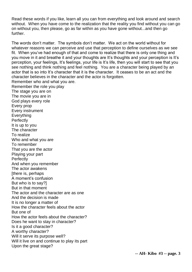Read these words if you like, learn all you can from everything and look around and search without. When you have come to the realization that the reality you find without you can go on without you, then please, go as far within as you have gone without...and then go further.

The words don't matter. The symbols don't matter. We act on the world without for whatever reasons we can perceive and use that perception to define ourselves as we see fit. When you've had enough of that and come to realize that there is only one thing and you move in it and breathe it and your thoughts are It's thoughts and your perception is It's perception, your feelings, It's feelings, your life is It's life, then you will start to see that you see nothing and think nothing and feel nothing. You are a character being played by an actor that is so into It's character that it is the character. It ceases to be an act and the character believes in the character and the actor is forgotten. Remember who and what you are. Remember the role you play The stage you are on The movie you are in God plays every role Every prop Every instrument Everything **Perfectly** It is up to you The character To realize Who and what you are To remember That you are the actor Playing your part **Perfectly** And when you remember The actor awakens [there is, perhaps A moment's confusion But who is to say?] But in that moment The actor and the character are as one And the decision is made It is no longer a matter of How the character feels about the actor But one of How the actor feels about the character? Does he want to stay in character? Is it a good character? A worthy character? Will it serve its purpose well? Will it live on and continue to play its part Upon the great stage?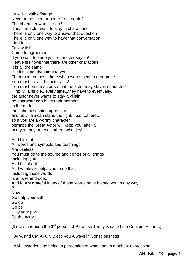Or will it walk offstage Never to be seen or heard from again? The character wants to act! Does the actor want to stay in character? There is only one way to answer that question There is only one way to have that conversation Find it Talk with it Come to agreement If you want to keep your character say so! Heavens knows that there are other characters It is all the same But if it is not the same to you Then there comes a time when words serve no purpose You must act as the actor acts! You must be the actor so that the actor may stay in character! Hint: villains die...every time...they have to eventually... the actor never wants to stay a villain... no character can have their moment in the dark the light must shine upon him and no villain can stand the light.....so.....there..... so if you are a worthy character perhaps the Great Actor will keep you, after all and you may be each other...what joy! And for that All words and symbols and teachings Are useless You must go to the source and center of all things Including you And talk it out And whatever helps you to do that Including these words Is all well and good And i/I AM grateful if any of these words have helped you in any way But Now Go help your self Go do Go be Play your part Be the actor

[there's a reason the  $3^{rd}$  person of Paradise Trinity is called the Conjoint Actor....]

PAPA and CM ATON Bless you Always in Consciousness

i AM I experiencing being in perception of what i am in manifest expression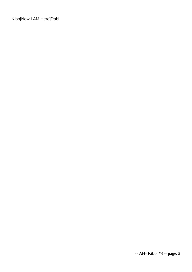Kibo[Now I AM Here]Dabi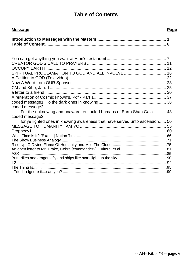# **Table of Contents**

| <b>Message</b>                                                                          | <b>Page</b> |
|-----------------------------------------------------------------------------------------|-------------|
|                                                                                         |             |
|                                                                                         |             |
|                                                                                         |             |
|                                                                                         |             |
| SPIRITUAL PROCLAMATION TO GOD AND ALL INVOLVED  18                                      |             |
|                                                                                         |             |
|                                                                                         |             |
|                                                                                         |             |
| coded message2:                                                                         |             |
| For the unknowing and unaware, ensouled humans of Earth Shan Gaia 43<br>coded message3: |             |
| for ye lighted ones in knowing awareness that have served unto ascension 50             |             |
|                                                                                         |             |
|                                                                                         |             |
|                                                                                         |             |
|                                                                                         |             |
| 121                                                                                     |             |
|                                                                                         |             |
|                                                                                         |             |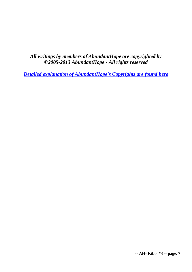## *All writings by members of AbundantHope are copyrighted by ©2005-2013 AbundantHope - All rights reserved*

*[Detailed explanation of AbundantHope's Copyrights are found here](http://abundanthope.net/pages/AbundantHope_1/Copyright_-_Terms_amp_Conditions_517.shtml)*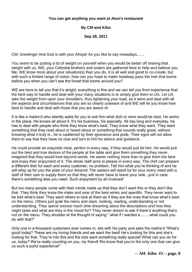#### **You can get anything you want at Aton's restaurant**

## **By CM and Kibo**

**Sep 26, 2011** 

CM: Greetings! And God is with you! Ahoye! As you like to say nowadays.......

You seem to be putting a lot of weight on yourself when you would be better off sharing that weight with us. WE, your Celestial brothers and sisters are gathered here to help and believe you Me, WE know more about your situation(s) than you do. It is all well and good to co-create, but with such a limited range of vision, how can you hope to make headway pass the tree that looms before you when you can't see the forest that looms around you?

WE are here to tell you that it's alright, everything is fine and we can tell you from experience that the best way to handle and deal with your many situations is to simply give them to US. Let US take the weight from upon your shoulders, thus lightening your load, as it were and deal with all the aspects and circumstances that you are so clearly unaware of and WE will let you know how best to handle and deal with those that you are aware of.

It is like a maitre'd who silently waits for you to ask him what dish or wine would be best. He works in the place. He knows all about it. It's his business, his specialty. All day long and everyday, he has to deal with people who think they know what's best. They know what they want. They want something that they read about or heard about or something that sounds really great, without knowing what it truly is...he is saddened by their ignorance and pride. Their egos will not allow them to say that they have no clue and turn to him for advice and guidance.

He could provide an exquisite meal, perfect in every way, if they would just let him. He would pull out the best and true desires of the people at the table and give them something they never imagined that they would love beyond words. He wants nothing more than to give them the best and enjoy their enjoyment of it. The whole staff aims to please in every way. The chef can prepare a different dish for each and every customer, no problem. Tell him what you're thinking of and he will whip up for you the plate of your dreams! The waiters will stand by for your every need with a staff of their own to supply them so that they will never have to leave your side...just in case there's something else you need. Such enjoyment by all involved!

But too many people come with their minds made up that they don't want this or they don't like that. They think they know the make and year of the best wines and aperitifs. They never want to be told what's best. They want others to look at them as if they are the ones that know what's best on the menu. Others just grab the menu and stare, looking, reading, understanding or not understanding. They spend sooooo much time dreaming about the descriptions and how they might taste and what are they in the mood for? They never dream to ask if there's anything that's not on the menu. They shudder at the thought of saying " what if I wanted a.........what could you do with that?"

Only one in a thousand customers ever comes in, sits with his party and asks the maitre'd "What's good today? These are my loving friends and we want the best! He's looking for this and she's looking for that. They're into this and the kids want something really special! What can you do for us, today? We're really counting on you, my friend! We know that you're the only one that can give us such a joyful experience!"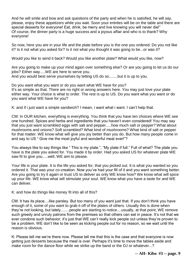And he will smile and bow and ask questions of the party and when he is satisfied, he will say, please, enjoy these appetizers while you wait. Soon your entrées will be on the table and there are special desserts for everyone! Eat, drink, be merry and live knowing you will never die!" Of course, the dinner party is a huge success and a joyous affair and who is to thank? Why everyone!

So now, here you are in your life and the plate before you is the one you ordered. Do you not like it? Is it not what you asked for? Is it not what you thought it was going to be...or was it?

Would you like to send it back? Would you like another plate? What would you like, now?

Are you going to make up your mind again over something else? Or are you going to let us do our jobs? Either way.....WE are here to serve you. And you would best serve yourselves by letting US do so........but it is up to you.

Do you want what you want or do you want what WE have for you? It's as simple as that. There are no right or wrong answers here. You may just love your plate either way. Your choice is what to order. The rest is up to US. Do you want what you want or do you want what WE have for you?

K: and if i just want a simple sandwich? I mean, i want what i want. I can't help that.

CM: In OUR kitchen, everything is everything. You think that you have ten choices where WE see one hundred. Spices and herbs and ingredients that you haven't even considered! You may say that you just want scrambled eggs with salt and pepper.....how much salt or pepper? What about mushrooms and onions? Soft scrambled? What kind of mushrooms? What kind of salt or pepper for that matter. WE know what will give you joy better than you do. But how many people come in and say to US " Give me the most joyful and wonderful meal ever!"?

You always like to say things like " This is my plate.", "My plate if full." Full of what? The plate you have is the plate you asked for. You made it by order. Had you asked US for whatever plate WE saw fit to give you.....well, WE aim to please.

Your life is your plate. It is the life you asked for, that you picked out. It is what you wanted so you ordered it. That was your co-creation. Now you've had your fill of it and you want something better. Are you going to try it again or trust US to deliver as only WE know how? We know what will spice up your life. WE know what will stimulate your soul. WE know what you have a taste for and WE can deliver.

K: and how do things like money fit into all of this?

CM: It has its place....like parsley. But too many of you want just that. If you don't think you have enough of it, some of you want to grab it off of the plates of others. Usually this is done when they're not looking, but lately........people are starting to notice....usually, at that point, WE remove such greedy and unruly patrons from the premises so that others can eat in peace. It's not that we ever condone such behavior, it's just that WE can't really kick people out unless they're proven to be a problem. WE don't like to be seen as kicking people out for no reason, so we wait until the reason is obvious.

K: Please tell me we're there now. Please tell me that this is the case and that everyone is now getting just desserts because the meal is over. Perhaps it's time to move the tables aside and make room for the dance floor while we strike up the band or the DJ or whatever...?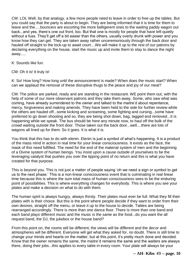CM: LOL Well, by that analogy, a few more people need to leave in order to free up the tables. But you could say that the party is about to begin. They are being informed that it is time for them to leave and the.....bouncers are escorting the more belligerent ones to the waiting paddy wagon out back...and yes, there's one out front, too. But that one is mostly for people that have left quietly without a fuss. They'll get off a bit easier than the others, usually overly drunk with power and you know how they can get. They are taken away rather unceremoniously through the back door and hauled off straight to the lock-up to await court....We will make it up to the rest of our patrons by declaring everything on the house, start the music up and invite them to stay to dance the night away.....

K: Sounds like fun.

CM: Oh it is! It truly is!

K: So! How long? How long until the announcement is made? When does the music start? When can we applaud the removal of these disruptive thugs to the peace and joy of our meal?

CM: The police are parked, ready and are standing in the restaurant. WE point them out, with the help of some of our more observant patrons and they take them away. Some, who saw what was coming, have already surrendered to the owner and talked to the maitre'd about repentance, mercy, forgiveness and making amends. They have been held to the side for further review while the others are hauled off...some kicking and screaming, some fighting and cursing...some have preferred to go down shooting and so, they are being shot down, bag, tagged and removed...It is happening while we speak. The bus should be here any minute now, to haul off the bulk of the crowd waiting outside the front door. Those taken out the back door...well....there are lots of wagons all lined up for them. So it goes. It is what it is.

You think that this has to do with elenin. Elenin is just a symbol of what's happening. It is a product of the mass mind in action in real time for your linear consciousness. It exists as the face, the mask of this need fulfilled. The need for the end of the material system of men and the beginning of a Divine system of human beings. You insist upon a cause outside of yourselves to be the leveraging catalyst that pushes you over the tipping point of no return and this is what you have created for that purpose.

This is beyond you. This is not just a matter of people saying 'oh we need a sign or symbol to get us to the next phase.' This is a non-linear consciousness event that is culminating in real linear time because this is where the sum total mass of human consciousness sees to be the enduring point of possibilities. This is where everything changes for everybody. This is where you see your plates and make a decision on what to do with them.

The human spirit is always hungry, always thirsty. Their plates must ever be full. What they fill their plates with is their choice. But this is the point where people decide if they want to order from their own desires, straight off the menu, or leave it up to the house to decide. Tables are being rearranged accordingly. There is more than one dance floor. There is more than one band and each band plays different music and the music is the same as the food...do you want the all request band, the DJ, the jukebox or the house band?

From this point on, the rooms will be different, the views will be different and the decor and atmospheres will be different. Everyone will get what they asked for, no doubt. There is still time to change your minds and hearts on the matter, but at this point, it's pretty much done and decided. Know that the owner remains the same, the maitre'd remains the same and the waiters are always there, doing their jobs...this applies to every table in every room. Your plate will always be your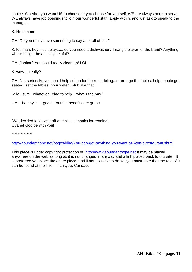choice. Whether you want US to choose or you choose for yourself, WE are always here to serve. WE always have job openings to join our wonderful staff, apply within, and just ask to speak to the manager.

K: Hmmmmm

CM: Do you really have something to say after all of that?

K: lol...nah, hey...let it play.......do you need a dishwasher? Triangle player for the band? Anything where I might be actually helpful?

CM: Janitor? You could really clean up! LOL

K: wow.....really?

CM: No, seriously, you could help set up for the remodeling...rearrange the tables, help people get seated, set the tables, pour water...stuff like that....

K: lol, sure...whatever...glad to help....what's the pay?

CM: The pay is.....good....but the benefits are great!

[We decided to leave it off at that........thanks for reading! Oyahe! God be with you!

\*\*\*\*\*\*\*\*\*\*\*\*\*\*

<http://abundanthope.net/pages/kibo/You-can-get-anything-you-want-at-Aton-s-restaurant.shtml>

This piece is under copyright protection of [http://www.abundanthope.net](http://www.abundanthope.net/pages/) It may be placed anywhere on the web as long as it is not changed in anyway and a link placed back to this site. It is preferred you place the entire piece, and if not possible to do so, you must note that the rest of it can be found at the link. Thankyou, Candace.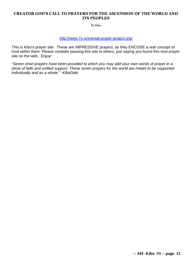#### **CREATOR GOD'S CALL TO PRAYERS FOR THE ASCENSION OF THE WORLD AND ITS PEOPLES**

By Kibo

#### <http://www.7x-universal-prayer-project.org/>

This is Kibo's prayer site. These are IMPRESSIVE prayers, as they ENCODE a real concept of God within them. Please consider passing this site to others, just saying you found this nice prayer site on the web. Enjoy!

*"Seven short prayers have been provided to which you may add your own words of prayer in a show of faith and unified support. These seven prayers for the world are meant to be supported individually and as a whole." -KiboDabi*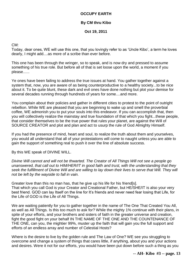## **OCCUPY EARTH**

## **By CM thru Kibo**

**Oct 19, 2011** 

CM:

Today, dear ones, WE will use this one, that you lovingly refer to as 'Uncle Kibo', a term he loves dearly, I might add....as more of a scribe than ever before.

This one has been through the wringer, so to speak, and is now dry and pressed to assume something of his true role. But before all of that is set loose upon the world, a moment if you please......

Ye ones have been failing to address the true issues at hand. You gather together against a system that, now, you are aware of as being counterproductive to a healthy society...to be nice about it. To be quite blunt, these dark and evil ones have done nothing but plot your demise for several decades running through hundreds of years for some....and more.

You complain about their policies and gather in different cities to protest to the point of outright rebellion. While WE are pleased that you are beginning to wake up and smell the proverbial coffee, WE admonish you to put your souls into this endeavor. If you can accomplish that, then you will collectively realize the mainstay and true foundation of that which you fight...these people, that consider themselves to be the true power that rules your planet, are against the Will of SOURCE CREATOR and plot and plan and act to usurp the rule of God Almighty Himself.

If you had the presence of mind, heart and soul, to realize the truth about them and yourselves, you would all understand that all of your protestations will come to naught unless you are able to gain the support of something real to push it over the line of absolute success.

By this WE speak of DIVINE WILL.

*Divine Will cannot and will not be thwarted. The Creator of All Things Will not see a people go unanswered, that call out to HIM/HER/IT in good faith and trust, with the understanding that they seek the fulfillment of Divine Will and are willing to lay down their lives to serve that Will. They will not be left by the wayside to fall in vain.*

Greater love than this no man has, that he give up his life for his friend[s]. That which you call God is your Creator and Creational Father, but HE/SHE/IT is also your very best friend. GOD can lay Itself on the line for It's friends and never need fear losing that Life, for the Life of GOD is the Life of All Things.

We are waiting patiently for you to gather together in the name of The One That Created You All, as well as All Things. Is this too much to ask for? While the mighty 1% continue with their plans, in spite of your efforts, and your brothers and sisters of faith in the greater universe and creation, fight the good fight on your behalf IN THE NAME OF THE ONE AND THE COUNTENANCE OF THE ONE, can you, the mightier 99%, muster up the faith that will gain you the full support and efforts of an endless array and number of Celestial Hosts?

Where is the desire to live by the golden rule and The Law of One? WE see you struggling to overcome and change a system of things that cares little, if anything, about you and your actions and desires. Were it not for our efforts, you would have been put down before such a thing as you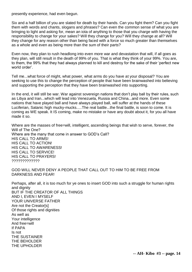presently experience, had even begun.

Six and a half billion of you are slated for death by their hands. Can you fight them? Can you fight them with words and chants, slogans and phrases? Can even the common sense of what you are bringing to light and asking for, mean an iota of anything to those that you charge with having the responsibility to change for your sakes? Will they change for you? Will they change at all? Will they change for any reason other than being faced with a force so much greater than themselves as a whole and even as being more than the sum of their parts?

Even now, they plan to rush headlong into even more war and devastation that will, if all goes as they plan, will still result in the death of 99% of you. That is what they think of your 99%. You are, to them, the 99% that they had always planned to kill and destroy for the sake of their 'perfect new world order'.

Tell me...what force of might, what power, what arms do you have at your disposal? You are seeking to use this to change the perception of people that have been brainwashed into believing and supporting the perception that they have been brainwashed into supporting.

In the end, it will still be war. War against sovereign nations that don't play ball by their rules, such as Libya and Iran...which will lead into Venezuela, Russia and China...and more. Even some nations that have played ball and have always played ball, will suffer at the hands of these Luciferian, Satanic high mucky-mucks.....The real battle...the final battle, is soon to come. It is coming as WE speak. It IS coming, make no mistake or have any doubt about it, for you all have made it so.

Where are the masses of free=will, intelligent, ascending beings that wish to serve, forever, the Will of The One? Where are the many that come in answer to GOD's Call? HIS CALL TO ARMS! HIS CALL TO ACTION! HIS CALL TO AWARENESS! HIS CALL TO SERVICE! HIS CALL TO PRAYERS! ?????????????

GOD WILL NEVER DENY A PEOPLE THAT CALL OUT TO HIM TO BE FREE FROM DARKNESS AND FEAR!

Perhaps, after all, it is too much for ye ones to insert GOD into such a struggle for human rights and dignity BUT IF THE CREATOR OF ALL THINGS AND I, EVEN I MYSELF YOUR UNIVERSE FATHER Are not the Creator[s] Of those rights and dignities As well as Your intelligence And free=will If PAPA Is not THE SUSTAINER THE BEHOLDER THE UPHOLDER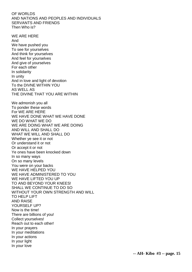OF WORLDS AND NATIONS AND PEOPLES AND INDIVIDUALS SERVANTS AND FRIENDS Then Who is?

WE ARE HERE And We have pushed you To see for yourselves And think for yourselves And feel for yourselves And give of yourselves For each other In solidarity In unity And in love and light of devotion To the DIVNE WITHIN YOU AS WELL AS THE DIVINE THAT YOU ARE WITHIN We admonish you all To ponder these words For WE ARE HERE WE HAVE DONE WHAT WE HAVE DONE WE DO WHAT WE DO WE ARE DOING WHAT WE ARE DOING AND WILL AND SHALL DO WHAT WE WILL AND SHALL DO Whether ye see it or not Or understand it or not Or accept it or not Ye ones have been knocked down In so many ways On so many levels You were on your backs WE HAVE HELPED YOU WE HAVE ADMINISTERED TO YOU WE HAVE LIFTED YOU UP TO AND BEYOND YOUR KNEES! SHALL WE CONTINUE TO DO SO WITHOUT YOUR OWN STRENGTH AND WILL TO HELP LIFT AND RAISE YOURSELF UP? Now is the time! There are billions of you! Collect yourselves! Reach out to each other! In your prayers In your meditations In your actions In your light In your love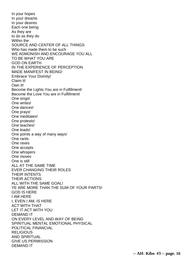In your hopes In your dreams In your desires Each one being As they are to do as they do Within the SOURCE AND CENTER OF ALL THINGS Who has made them to be such WE ADMONISH AND ENCOURAGE YOU ALL TO BE WHAT YOU ARE GOD ON EARTH IN THE EXPERIENCE OF PERCEPTION MADE MANIFEST IN BEING! Embrace Your Divinity! Claim It! Own It! Become the Lights You are in Fulfillment! Become the Love You are in Fulfillment! One sings! One writes! One dances! One prays! One meditates! One protests! One teaches! One leads! One points a way of many ways! One rants One raves One accepts One whispers One moves One is still ALL AT THE SAME TIME EVER CHANGING THEIR ROLES THEIR INTENTS THEIR ACTIONS ALL WITH THE SAME GOAL! YE ARE MORE THAN THE SUM OF YOUR PARTS! GOD IS HERE I AM HERE I, EVEN I AM, IS HERE ACT WITH THAT LET IT ACT WITH YOU DEMAND IT ON EVERY LEVEL AND WAY OF BEING SPIRITUAL MENTAL EMOTIONAL PHYSICAL POLITICAL FINANCIAL **RELIGIOUS** AND SPIRITUAL GIVE US PERMISSION DEMAND IT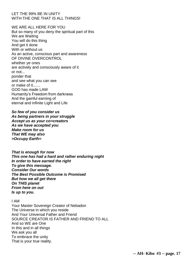#### LET THE 99% BE IN UNITY WITH THE ONE THAT IS ALL THINGS!

WE ARE ALL HERE FOR YOU But so many of you deny the spiritual part of this We are Waiting You will do this thing And get it done With or without us As an active, conscious part and awareness OF DIVINE OVERCONTROL whether ye ones are actively and consciously aware of it or not... ponder that and see what you can see or make of it....... GOD has made LAW Humanity's Freedom from darkness And the gainful earning of eternal and infinite Light and Life

*So few of you consider us As being partners in your struggle Accept us as your co=creators As we have accepted you Make room for us That WE may also =Occupy Earth=*

*That is enough for now This one has had a hard and rather enduring night In order to have earned the right To give this message. Consider Our words The Best Possible Outcome is Promised But how we all get there On THIS planet From here on out Is up to you.*

#### I AM

Your Master Sovereign Creator of Nebadon The Universe in which you reside And Your Universal Father and Friend SOURCE CREATOR IS FATHER AND FRIEND TO ALL And so WE are One In this and in all things We ask you all To embrace the unity That is your true reality.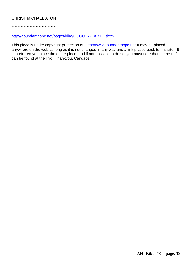## CHRIST MICHAEL ATON

\*\*\*\*\*\*\*\*\*\*\*\*\*\*\*\*\*\*\*\*\*\*\*\*\*\*\*\*\*\*

<http://abundanthope.net/pages/kibo/OCCUPY-EARTH.shtml>

This piece is under copyright protection of [http://www.abundanthope.net](http://abundanthope.net/pages/) It may be placed anywhere on the web as long as it is not changed in any way and a link placed back to this site. It is preferred you place the entire piece, and if not possible to do so, you must note that the rest of it can be found at the link. Thankyou, Candace.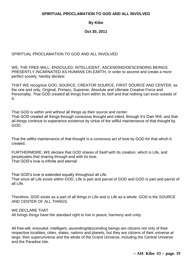#### **SPIRITUAL PROCLAMATION TO GOD AND ALL INVOLVED**

#### **By Kibo**

#### **Oct 30, 2011**

#### SPIRITUAL PROCLAMATION TO GOD AND ALL INVOLVED

WE, THE FREE-WILL, ENSOULED, INTELLIGENT, ASCENDING/DESCENDING BEINGS PRESENTLY INCARNATED AS HUMANS ON EARTH, in order to ascend and create a more perfect society, hereby declare:

THAT WE recognize GOD, SOURCE, CREATOR SOURCE, FIRST SOURCE AND CENTER, as the one and only, Original, Primary, Supreme, Absolute and Ultimate Creative Force and Personality. That GOD created all things from within Its Self and that nothing can exist outside of It.

That GOD is within and without all things as their source and center.

That GOD created all things through conscious thought and intent, through It's Own Will, and that all things continue to experience existence by virtue of the willful maintenance of that thought by GOD.

That the willful maintenance of that thought is a conscious act of love by GOD for that which It created.

FURTHERMORE, WE declare that GOD shares of Itself with Its creation, which is Life, and perpetuates that sharing through and with Its love. That GOD's love is infinite and eternal.

That GOD's love is extended equally throughout all Life. That since all Life exists within GOD, Life is part and parcel of GOD and GOD is part and parcel of all Life.

Therefore, GOD exists as a part of all things in Life and is Life as a whole. GOD is the SOURCE AND CENTER OF ALL THINGS.

#### WE DECLARE THAT

All livings things have the standard right to live in peace, harmony and unity.

All free-will, ensouled, intelligent, ascending/descending beings are citizens not only of their respective localities, cities, states, nations and planets, but they are citizens of their universe at large, their superuniverse and the whole of the Grand Universe, including the Central Universe and the Paradise Isle.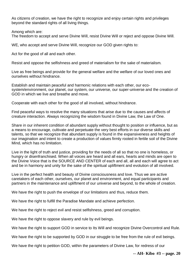As citizens of creation, we have the right to recognize and enjoy certain rights and privileges beyond the standard rights of all living things.

Among which are:

The freedom to accept and serve Divine Will, resist Divine Will or reject and oppose Divine Will.

WE, who accept and serve Divine Will, recognize our GOD given rights to:

Act for the good of all and each other.

Resist and oppose the selfishness and greed of materialism for the sake of materialism.

Live as free beings and provide for the general welfare and the welfare of our loved ones and ourselves without hindrance.

Establish and maintain peaceful and harmonic relations with each other, our ecosystem/environment, our planet, our system, our universe, our super-universe and the creation of GOD in which we live and breathe and move.

Cooperate with each other for the good of all involved, without hindrance.

Find peaceful ways to resolve the many situations that arise due to the causes and affects of creature interaction. Always recognizing the wisdom found in Divine Law, the Law of One.

Share in our inherent condition of abundant supply without thought to position or influence, but as a means to encourage, cultivate and perpetuate the very best efforts in our diverse skills and talents, so that we recognize that abundant supply is found in the expansiveness and heights of our imagination and intent to create a production of values firmly rooted in fertile soil of the Divine Mind, which has no limitation.

Live in the light of truth and justice, providing for the needs of all so that no one is homeless, or hungry or disenfranchised. When all voices are heard and all ears, hearts and minds are open to the Divine Voice that is the SOURCE AND CENTER of each and all, all and each will agree to act and be in harmony and unity for the sake of the spiritual upliftment and evolution of all involved.

Live in the perfect health and beauty of Divine consciousness and love. Thus we are active caretakers of each other, ourselves, our planet and environment, and equal participants and partners in the maintenance and upliftment of our universe and beyond, to the whole of creation.

We have the right to push the envelope of our limitations and thus, reduce them.

We have the right to fulfill the Paradise Mandate and achieve perfection.

We have the right to reject evil and resist selfishness, greed and corruption.

We have the right to oppose slavery and rule by evil beings.

We have the right to support GOD in service to Its Will and recognize Divine Overcontrol and Rule.

We have the right to be supported by GOD in our struggle to be free from the rule of evil beings.

We have the right to petition GOD, within the parameters of Divine Law, for redress of our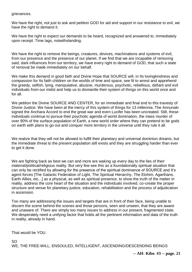grievances.

We have the right, not just to ask and petition GOD for aid and support in our resistance to evil, we have the right to demand it.

We have the right to expect our demands to be heard, recognized and answered to, immediately upon receipt. Time lags, notwithstanding.

We have the right to remove the beings, creatures, devices, machinations and systems of evil, from our presence and the presence of our planet. If we find that we are incapable of removing said, dark influences from our territory, we have every right to demand of GOD, that such a state of removal be made immediately on our behalf.

We make this demand in good faith and Divine Hope that SOURCE will, in Its lovingkindness and compassion for Its faith children on the worlds of time and space, see fit to arrest and apprehend the greedy, selfish, lying, manipulative, abusive, murderous, psychotic, rebellious, defiant and evil individuals from our midst and help us to dismantle their system of things on this world once and for all.

We petition the Divine SOURCE AND CENTER, for an immediate and final end to this travesty of Divine Justice. We have been at the mercy of this system of things for 13 millennia. The Annunaki signed the Anchara Accord to end the great war and even Lucifer has been uncreated. Still, these individuals continue to pursue their psychotic agenda of world domination, the mass murder of over 90% of the surface population of Earth, a new world order where they can pretend to be gods on earth with plans to go out and conquer more territory in the universe until they rule it all.

We realize that they will not be allowed to fulfill their planetary and universal dominion dreams, but the immediate threat to the present population still exists and they are struggling harder than ever to get it done.

We are fighting back as best we can and more are waking up every day to the lies of their material/political/religious reality. But very few see this as a foundationally spiritual situation that can only be rectified by allowing for the presence of the spiritual dominance of SOURCE and It's agent forces [The Galactic Federation of Light, The Spiritual Hierarchy, The Elohim, Agarthans, Earth Allies, etc...] as a physical, as well as spiritual presence, to show the truth of the matter in reality, address the core heart of the situation and the individuals involved, co-create the proper structure and venue for planetary justice, education, rehabilitation and the process of adjudication in ascension.

Too many are addressing the issues and targets that are in front of their face, being unable to discern the scene behind the scenes and those persons, seen and unseen, that they are aware and unaware of. There are simply too many issues to address in our present, fragmented state. We desperately need a unifying factor that holds all the pertinent information and data of the truth in reality, already in hand.

That would be YOU.

SO WE, THE FREE-WILL, ENSOULED, INTELLIGENT, ASCENDING/DESCENDING BEINGS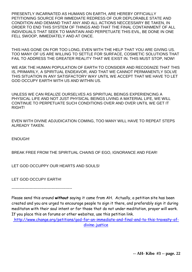PRESENTLY INCARNATED AS HUMANS ON EARTH, ARE HEREBY OFFICIALLY PETITIONING SOURCE FOR IMMEDIATE REDRESS OF OUR DEPLORABLE STATE AND CONDITION AND DEMAND THAT ANY AND ALL ACTIONS NECCESSARY BE TAKEN, IN ORDER TO END THIS SYSTEM OF THINGS AND THAT THE FINAL CONTAINMENT OF ALL INDIVIDUALS THAT SEEK TO MAINTAIN AND PERPETUATE THIS EVIL, BE DONE IN ONE FELL SWOOP, IMMEDIATELY AND AT ONCE.

THIS HAS GONE ON FOR TOO LONG, EVEN WITH THE HELP THAT YOU ARE GIVING US. TOO MANY OF US ARE WILLING TO SETTLE FOR SURFACE, COSMETIC SOLUTIONS THAT FAIL TO ADDRESS THE GREATER REALITY THAT WE EXIST IN. THIS MUST STOP, NOW!

WE ASK THE HUMAN POPULATION OF EARTH TO CONSIDER AND RECOGNIZE THAT THIS IS, PRIMARILY, A SPIRITUAL ENDEAVOR, AND THAT WE CANNOT PERMANENTLY SOLVE THIS SITUATION IN ANY SATISFACTORY WAY UNTIL WE ACCEPT THAT WE HAVE TO LET GOD OCCUPY EARTH WITH US AND WITHIN US.

UNLESS WE CAN REALIZE OURSELVES AS SPIRITUAL BEINGS EXPERIENCING A PHYSICAL LIFE AND NOT JUST PHYSICAL BEINGS LIVING A MATERIAL LIFE, WE WILL CONTINUE TO PERPETUATE SUCH CONDITIONS OVER AND OVER UNTIL WE GET IT RIGHT!

EVEN WITH DIVINE ADJUDICATION COMING, TOO MANY WILL HAVE TO REPEAT STEPS ALREADY TAKEN.

ENOUGH!

BREAK FREE FROM THE SPIRITUAL CHAINS OF EGO, IGNORANCE AND FEAR!

LET GOD OCCUPPY OUR HEARTS AND SOULS!

LET GOD OCCUPY EARTH!

-----------------------------------------------

Please send this around **without** saying it came from AH. Actually, a petition site has been created and you are urged to encourage people to sign it there, and preferably sign it during meditaton with their soul intent or for those that do not under meditation, prayer will work. If you place this on forums or other websites, use this petition link.

[http://www.change.org/petitions/god-for-an-immediate-and-final-end-to-this-travesty-of](http://www.change.org/petitions/god-for-an-immediate-and-final-end-to-this-travesty-of-divine-justice)[divine-justice](http://www.change.org/petitions/god-for-an-immediate-and-final-end-to-this-travesty-of-divine-justice)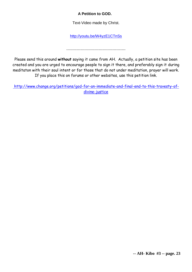## **A Petition to GOD.**

Text-Video made by Christ.

<http://youtu.be/W4yzE1CTnSs>

Please send this around **without** saying it came from AH. Actually, a petition site has been created and you are urged to encourage people to sign it there, and preferably sign it during meditaton with their soul intent or for those that do not under meditation, prayer will work. If you place this on forums or other websites, use this petition link.

[http://www.change.org/petitions/god-for-an-immediate-and-final-end-to-this-travesty-of](http://www.change.org/petitions/god-for-an-immediate-and-final-end-to-this-travesty-of-divine-justice)[divine-justice](http://www.change.org/petitions/god-for-an-immediate-and-final-end-to-this-travesty-of-divine-justice)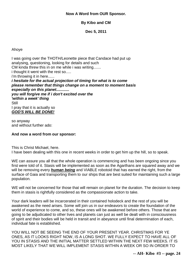#### **Now A Word from OUR Sponsor.**

## **By Kibo and CM**

**Dec 5, 2011**

Ahoye

I was going over the THOTH/Leonette piece that Candace had put up analysing, questioning, looking for details and such CM kinda threw this in on me while i was writing....... i thought it went with the rest so..... i'm throwing it in here...... *i hesitate for the actual projection of timing for what is to come please remember that things change on a moment to moment basis especially on this planet............ you will forgive me if i don't excited over the 'within a week' thing* Still I pray that it is actually so *GOD'S WILL BE DONE!*

so anyway and without further ado:

#### **And now a word from our sponsor:**

This is Christ Michael, here. I have been dealing with this one in recent weeks in order to get him up the hill, so to speak.

WE can assure you all that the whole operation is commencing and has been ongoing since you first were told of it. Stasis will be implemented as soon as the Agarthans are squared away and we will be removing every *human being* and VIABLE robotoid that has earned the right, from the surface of Gaia and transporting them to our ships that are best suited for maintaining such a large population.

WE will not be concerned for those that will remain on planet for the duration. The decision to keep them in stasis is rightfully considered as the compassionate action to take.

Your dark leaders will be incarcerated in their contained holodeck and the rest of you will be awakened as the need arises. Some will join us in our endeavors to create the foundation of the world of experience to come, and so, these ones will be awakened before others. Those that are going to be adjudicated to other lives and planets can just as well be dealt with in consciousness of spirit and their bodies will be held in transit and in abeyance until final determination of each, individual fate is established.

YOU WILL NOT BE SEEING THE END OF YOUR PRESENT YEAR. CHRISTMAS FOR YE ONES, AS IT LOOKS RIGHT NOW, IS A LONG SHOT. WE FULLY EXPECT TO HAVE ALL OF YOU IN STASIS AND THE INITIAL MATTER SETTLED WITHIN THE NEXT FEW WEEKS. IT IS MOST LIKELY THAT WE WILL IMPLEMENT STASIS WITHIN A WEEK OR SO IN ORDER TO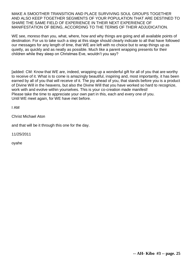MAKE A SMOOTHER TRANSITION AND PLACE SURVIVING SOUL GROUPS TOGETHER AND ALSO KEEP TOGETHER SEGMENTS OF YOUR POPULATION THAT ARE DESTINED TO SHARE THE SAME FIELD OF EXPERIENCE IN THEIR NEXT EXPERIENCE OF MANIFESTATION OF BEING, ACCORDING TO THE TERMS OF THEIR ADJUDICATION.

WE see, moreso than you, what, where, how and why things are going and all available points of destination. For us to take such a step at this stage should clearly indicate to all that have followed our messages for any length of time, that WE are left with no choice but to wrap things up as quietly, as quickly and as neatly as possible. Much like a parent wrapping presents for their children while they sleep on Christmas Eve, wouldn't you say?

[added: CM: Know that WE are, indeed, wrapping up a wonderful gift for all of you that are worthy to receive of it. What is to come is amazingly beautiful, inspiring and, most importantly, it has been earned by all of you that will receive of it. The joy ahead of you, that stands before you is a product of Divine Will in the heavens, but also the Divine Will that you have worked so hard to recognize, work with and evolve within yourselves. This is your co-creation made manifest! Please take the time to appreciate your own part in this, each and every one of you. Until WE meet again, for WE have met before.

I AM

Christ Michael Aton

and that will be it through this one for the day.

11/25/2011

oyahe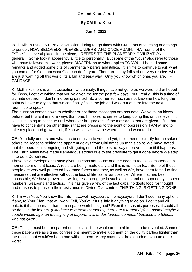#### **CM and Kibo, Jan. 1**

#### **By CM thru Kibo**

**Jan 4, 2012**

WEll, Kibo's usual INTENSE discussion during tough times with CM. Lots of teaching and things to ponder. NOW BELOVEDS, PLEASE UNDERSTAND ONCE AGAIN, THAT some of the "YOU's" in several places in the piece, REFERS TO THE PLANETARY CIVILIZATION in general, Some took it apparently a little to personally. But some of the "yous" also refer to those who have followed this work, please DISCERN as to what applies TO YOU. I bolded some remarks and added some bits of commentary para's and italics. It is time to continue to ask what you can do for God, not what God can do for you. There are many folks of our very readers who are just wanting off this world, its a fun and easy way. Only you know which ones you are. - CANDACE

**K:** Methinks there is a.........situation. Undeniably, things have not gone as we were told or hoped for. Boss, I get everything that you've given me for the past few days...but...really...this is a time of ultimate decision. I don't mind being painted into a corner so much as not knowing how long the paint will take to dry so that we can finally finish the job and walk out of here into the next room...so to speak.

The question comes down to whether or not these messages are accurate. We've taken blows before, but this is it in more ways than one. It makes no sense to keep doing this on this level if it all is just going to continue until whenever irregardless of the messages that are given. I find that I have to concentrate on other things that are pressing to the point of oppression. I AM willing to take my place and grow into it, if You will only show me where it is and what to do.

**CM:** You fully understand what has been given to you and yet, feel a need to clarify for the sake of others the reasons behind the apparent delays from Christmas up to this point. We have stated that the operation is ongoing and still going on and there is no way to prove that until it happens. The Earth Allies have made tremendous strides due to the pressure to get it done before We step in to do it Ourselves.

These new developments have given us constant pause and the need to reassess matters on a moment to moment basis. Arrests are being made daily and this is no mean feat. Some of these people are very well protected by armed forces and they, as well as We, have been forced to find measures that are effective without the loss of life, as far as possible. Where that has been impossible, We have proven our willingness to engage in such actions and our superiority in sheer numbers, weapons and tactics. This has given a few of the last cabal holdouts food for thought and reasons to pause in their resistance to Divine Overcontrol. THIS THING IS GETTING DONE!

**K:** I'm with You. You know that. But.........well hey...screw the naysayers. I don't see many options, if any, to Your Plan, that will work. Still, You've left us little if anything to go on. I get it and all but...is it that important that human paperwork be signed? Even if for cosmic purposes, it could all be done in the interim. *(Candace: to refresh memories, there are a targeted piece posted maybe a couple weeks ago, on the signing of papers. It is under "announcements" because the telepath was not given.)* 

**CM:** Things must be transparent on all levels if the whole and total truth is to be revealed. Some of these papers are as signed confessions meant to make judgment on the guilty parties lighter than the results that would've been had without them. Mercy must ever be extended, even unto the worst.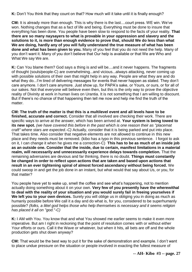**K:** Don't You think that they count on that? How much will it take until it is finally enough?

**CM:** It is already more than enough. This is why there is the last....court press. WE win. We've won. Nothing changes that as a fact of life and being. Everything must be done to insure that everything has been done. You people have been slow to respond to the facts of your reality. **That there are so many naysayers to what is provable in your oppression and slavery and the solutions to it, is more than enough evidence to prove that, should We do less than what We are doing, hardly any of you will fully understand the true measure of what has been done and what has been given to you.** Many of you feel that you do not need the help. Many of you don't want it. Many of you don't believe that Our help is available or that We are Who and What We say We are.

K: Can You blame them? God says a thing is and will be....and it never happens. The fragments of thought (souls/people-C) are overwhelming...and vicious...always attacking, never coming up with possible solutions of their own that might help in any way. People are what they are and do what they do...I'm tired of delivering messages for events that never happen as stated. They don't care anymore. I don't care anymore. Just show up, for PAPA's sake, or Yours, or ours, or for all of our sakes. Not that everyone will believe even then, but this is the only way to prove the objective reality of Divinity at work in human lives on Urantia. It is not something that I am willing to discount. But if there's no chance of that happening then tell me now and help me find the truth of the matter.

**CM: The truth of the matter is that this is a multilevel event and all levels have to be finished, accurate and correct.** Consider that all involved are checking their work. There are specific ways to arrive at the answer, which has been arrived at. **Your system is being towed to its new spot.** *(we have covered this before in the past which is one reason their as "placemat craft" where stars are expected.-C)* Actually, consider that it is being parked and put into place. That takes time. Also consider that negative elements are not allowed to continue in this new place and they needs must be removed. (kibo has a typo in this previous sentence. I forgot to ask on it, I can change it when he gives me a correction-C) **This has to be as much of an inside job as an outside one. Consider that the inside, due to certain, manifest limitations in a material realm, will necessarily and unnecessarily experience delays towards completion.** That the remaining adversaries are devious and far thinking, there is no doubt. **Things must constantly be changed in order to reflect upon actions that are taken and based upon actions that result in an ever tightening spiral of almost forced ascendancy without being forced.** We could swoop in and get the job done in an instant, but what would that say about Us, or you, for that matter?

You people have yet to wake up, smell the coffee and see what's happening, not to mention actually doing something about it on your own. **Very few of you presently have the wherewithal to deal with the reality of your situation and you would surely fail in freeing yourselves if**  We left you to your own devices. Surely you will oblige us in obliging you in doing as much as humanly possible before We call it a day and do what is, for you, considered to be superhumanly possible? *(folks, a littel god helps those who help themselves is necessary and it seems religion has placed it all on "god."-C)* 

**K:** I AM with You. You know that and what You showed me earlier seems to make it even more imperative. But am I right in reckoning that the point of resolution comes with or without either Your efforts or ours. Call it the Wave or whatever, but when it hits, all bets are off and the whole production gets shut down anyway?

**CM:** That would be the best way to put it for the sake of demonstration and example. I don't want to place undue pressure on the situation or people involved in exacting the fullest measure of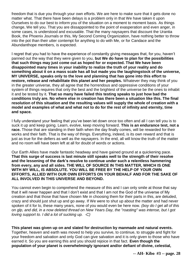freedom that is due you through your own efforts. We are here to make sure that it gets done no matter what. That there have been delays is a problem only in that We have taken it upon Ourselves to do our best to inform you of the situation on a moment to moment basis. As things change, We tell you. That you are dissappointed to the point of exasperation and even anger, in some cases, is understood and excusable. That the many naysayers that discount the Urantia Book, the Phoenix Journals or this, My Second Coming Organization, have nothing better to throw into the pot than their utter contempt for anything to do with Me, or for Candace and the Abundanthope members, is expected.

I regret that you had to have the experience of constantly giving messages that, for you, haven't panned out the way that they were given to you, **but We do have to plan for the possibilities that such things may just come out as hoped for or expected. That We have been disappointed many times in your inability to realize the truth of your reality and do something about it on a mass scale has all but made you the laughingstock of the universe, MY UNIVERSE, speaks only to the love and planning that has gone into this effort to restore, release and rehabilitate this planet and her peoples.** Whatever they may think of you in the greater universe, they all agree that the horrendous and oppressive conditions of your system of things requires that only the best and the brightest of the universe be the ones to inhabit it and be tested by it. **That so many have failed this testing speaks to just how bad the conditions truly are. No where else in creation has there been a situation like this. The final resolution of this situation and the resulting values will supply the whole of creation with a model and examples of what and what not to do for the rest of infinity and eternity, time and space.**

I fully understand your feeling that you've been let down once too often and all I can tell you is to suck it up and keep going. Learn, evolve, keep moving forward. **This is an endurance test, not a race.** Those that are standing in their faith when the day finally comes, will be rewarded for their works and their faith. That is the way of things. Everything, indeed, is its own reward and that is just as true for the defiers as well as the naysayers. In the end, all will know the truth of the matter and no room will have been left at all for doubt of words or actions.

Our Earth Allies have made fantastic headway and have gained ground at a quickening pace. **That this surge of success is last minute still speaks well to the strength of their resolve and the lessening of the dark's resolve to continue under such a relentless hammering from every, any and all sides. THE WILL OF SOURCE IN THIS MATTER, WHICH IS ONE WITH MY WILL, IS ABSOLUTE. YOU WILL BE FREE BY THE HELP OF YOUR OWN EFFORTS, ALLIED WITH OUR OWN EFFORTS ON YOUR BEHALF AND FOR THE SAKE OF ALL INVOLVED IN THIS UNIVERSE AND BEYOND.**

You cannot even begin to comprehend the measure of this and I can only smile at those that say that it will never happen and that I don't exist and that I am not the God of the universe of My creation and that those that have chosen Me in choosing them for their parts in this, are deluded, crazy and should just shut up and go away. If We were to shut up about the matter and had never spoken of it for lo, these many years, none of you would even be here now. *(boy do I get all of this on glp, and did, in a now deleted thread on New Years Day, the "roasting" was intense, but I got loving support to. I did a lot of sucking up. -C)* 

**This planet was given up on and slated for destruction by manmade and natural events.** Together, heaven and earth was moved to help you survive, to continue, to struggle and fight for your freedom and salvation and only God can give salvation and it is only given to those who have earned it. So you are earning this and you should rejoice in that fact. **Even though the population of your planet is overwhelmingly ignorant and/or defiant of divine, celestial,**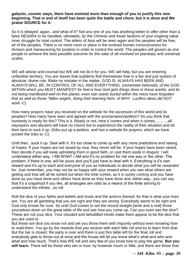#### **galactic, cosmic ways, there have evolved more than enough of you to justify this new beginning. That in and of itself has been quite the battle and chore, but it is done and We praise SOURCE for it.**

So it is delayed, again...and what of it? Not any one of you has anything better to offer other than a false NESARA to be handled, ultimately, by the Chinese and Asian factions of your ongoing cabal inner struggle for total control. The elders of Asia will be seen again and the peoples will be free, all of the peoples. There is no more room or place in the evolved human consciousness for division and maneuvering for position in order to control the world. The peoples will govern as one people to achieve the best possible outcome for the sake of all involved on planetary and universal scales.

WE will advise and counsel but WE will not do it for you. WE will help, but you are entering unfamiliar territory. You are slaves that suddenly find themselves free in a fair and just system of absolute, divine rule. Make no mistake in the matter. GOD IS, ALWAYS HAS BEEN AND ALWAYS WILL BE, IN CONTROL OF ALL AND EVERYTHING. *(remember beloveds, of the GOD WITHIN which you MUST MANIFEST for that is how God gets things done in these worlds, and its not being manifested well on this planet, even star seeds buried within the mess have forgotten that as well as those "fallen angels, doing their learning here, of WHY Lucifers ideas did NOT work.-C)* 

How many prayers have you received on the website for the ascension of this world and its peoples? How many have seen and agreed with the proclamation/petition? Do you think that humanity is ready for this? This is it. Ready or not, here it comes and when it comes............all naysayers and abusers will have no choice but to experience the reality of their situation and do their best to suck it up. (Kibo put up a petition, and has a website for prayers, which we have posted the links to.-C)

Until then...suck it up. Deal with it. It's too close to come up with any more predictions and raising of hopes. If your hopes are not raised by now, they never will be. If your hopes have been raised, then decide if you will keep upholding them in good faith, or cast them aside in disgust. I will understand either way. I AM WHAT I AM and it's no problem for me one way or the other. The problem, if there is one, will be yours and you'll just have to deal with it. Everything is it's own reward and it's up to each and everyone of you as individuals to decide what you will be rewarded for. Just remember, you may not be so happy with your reward when you see what others are getting and that will all be sorted out when the time comes, as it is surely coming and you have done as you have done and others have done as they have done and, either way...you can say that it's a crapshoot if you like, all analogies are valid as a means of the finite striving to understand the infinite...so roll.

Roll the dice of your faiths and beliefs and trusts and the actions thereof, for that is what your lives are. You are all gambling that you are right and they are wrong. Everybody wants to be right and God only knows for sure. So until God comes to set the record straight [wink and a nod] throw yourselves down on the great table of life and see how you come up. Can you even see the dice? These are not your dice. Your clouded and befuddled minds make them appear to be the dice that you are used to.

But these are dice you know not and yet you throw them with impunity without even knowing how to read them. You go by the rewards that you receive with each little roll and try to learn from that. But the bar is closed, the party is over and there is just this table left for the final roll and everybody gets to throw out at once and the house will let you know what's what and who won what and how much. That's how WE roll and very few of you know how to play the game. **But you will learn.** There will be those who win or lose, by however much or little, and there are those that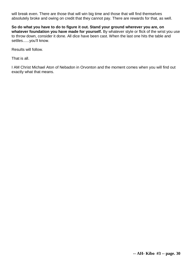will break even. There are those that will win big time and those that will find themselves absolutely broke and owing on credit that they cannot pay. There are rewards for that, as well.

**So do what you have to do to figure it out. Stand your ground wherever you are, on whatever foundation you have made for yourself.** By whatever style or flick of the wrist you use to throw down, consider it done. All dice have been cast. When the last one hits the table and settles......you'll know.

Results will follow.

That is all.

I AM Christ Michael Aton of Nebadon in Orvonton and the moment comes when you will find out exactly what that means.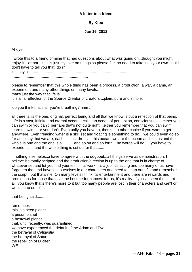#### **A letter to a friend**

#### **By Kibo**

**Jan 16, 2012**

Ahoye!

i wrote this to a friend of mine that had questions about what was going on...thought you might enjoy it....or not....this is just my take on things so please feel no need to take it as your own...but i don't have to tell you that, do i?

just sayin'............................................ ..................................................

.................................................. ....................

please to remember that this whole thing has been a process, a production, a war, a game, an experiment and many other things on many levels. that's just the way that life is. it is all a reflection of the Source Creator of creators....plain, pure and simple.

'do you think that's air you're breathing? hmm...'

all there is, is the one, original, perfect being and all that we know is but a reflection of that being. Life is a vast, infinite and eternal ocean....call it an ocean of perception, consciousness...either you can swim or you can't. perhaps that's not quite right....either you remember that you can swim, learn to swim....or you don't. Eventually you have to, there's no other choice if you want to get anywhere. Even treading water is a skill set and floating is something to do....we could even go so far as to say that we are, each us, just drops in this ocean. we are the ocean and it is us and the whole is one and the one is all..........and so on and so forth....no words will do......you have to experience it and the whole thing is set up for that........

if nothing else helps...i have to agree with the dogpoet...all things serve as demonstration. I believe it's totally scripted and the production/direction is up to the one that is in charge of whatever set and lot you find yourself in. it's work. it's a job. it's acting and too many of us have forgotten that and have lost ourselves in our characters and need to snap out of it and remember the script...but that's me. On many levels i think it's entertainment and there are rewards and promotions for those that give the best performances. for us, it's reality. If you've seen the set at all, you know that's there's more to it but too many people are lost in their characters and can't or won't snap out of it.

that being said.......

remember.... this is a seed planet a prison planet a bestowal planet that, until recently, was quarantined we have experienced the default of the Adam and Eve the betrayal of Caligastia the betrayal of Satan the rebellion of Lucifer **WE**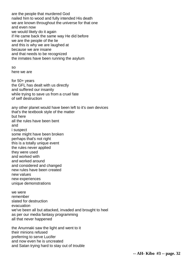are the people that murdered God nailed him to wood and fully intended His death we are known throughout the universe for that one and even now we would likely do it again if He came back the same way He did before we are the people of the lie and this is why we are laughed at because we are insane and that needs to be recognized the inmates have been running the asylum

so here we are

for 50+ years the GFL has dealt with us directly and suffered our insanity while trying to save us from a cruel fate of self destruction

any other planet would have been left to it's own devices that's the textbook style of the matter but here all the rules have been bent and i suspect some might have been broken perhaps that's not right this is a totally unique event the rules never applied they were used and worked with and worked around and considered and changed new rules have been created new values new experiences unique demonstrations

we were remember slated for destruction evacuation we've been all but attacked, invaded and brought to heel as per our media fantasy programming all that never happened

the Anunnaki saw the light and went to it their minions refused preferring to serve Lucifer and now even he is uncreated and Satan trying hard to stay out of trouble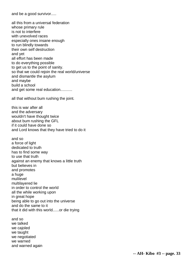and be a good survivor.....

all this from a universal federation whose primary rule is not to interfere with unevolved races especially ones insane enough to run blindly towards their own self destruction and yet all effort has been made to do everything possible to get us to the point of sanity. so that we could rejoin the real world/universe and dismantle the asylum and maybe build a school and get some real education...........

all that without bum rushing the joint.

this is war after all and the adversary wouldn't have thought twice about bum rushing the GFL if it could have done so and Lord knows that they have tried to do it

and so a force of light dedicated to truth has to find some way to use that truth against an enemy that knows a little truth but believes in and promotes a huge mulilevel multilayered lie in order to control the world all the while working upon in great hope being able to go out into the universe and do the same to it that it did with this world......or die trying

and so we talked we cajoled we taught we negotiated we warned and warned again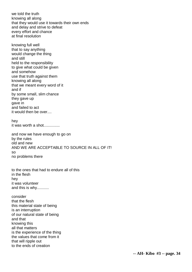we told the truth knowing all along that they would use it towards their own ends and delay and strive to defeat every effort and chance at final resolution

knowing full well that to say anything would change the thing and still held to the responsibility to give what could be given and somehow use that truth against them knowing all along that we meant every word of it and if by some small, slim chance they gave up gave in and failed to act it would then be over....

hey it was worth a shot...............

and now we have enough to go on by the rules old and new AND WE ARE ACCEPTABLE TO SOURCE IN ALL OF IT! so no problems there

to the ones that had to endure all of this in the flesh hey it was volunteer and this is why...........

consider that the flesh this material state of being is an interruption of our natural state of being and that knowing this all that matters is the experience of the thing the values that come from it that will ripple out to the ends of creation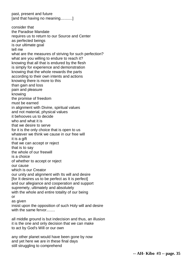[and that having no meaning...........] consider that the Paradise Mandate requires us to return to our Source and Center as perfected beings is our ultimate goal tell me what are the measures of striving for such perfection? what are you willing to endure to reach it? knowing that all that is endured by the flesh is simply for experience and demonstration knowing that the whole rewards the parts according to their own intents and actions knowing there is more to this than gain and loss pain and pleasure knowing the promise of freedom must be earned in alignment with Divine, spiritual values and not material, physical values it behooves us to decide who and what it is that we desire to serve for it is the only choice that is open to us whatever we think we cause in our free will it is a gift that we can accept or reject that is to say the whole of our freewill is a choice of whether to accept or reject our cause which is our Creator our unity and alignment with Its will and desire [for It desires us to be perfect as It is perfect] and our allegiance and cooperation and support supremely, ultimately and absolutely with the whole and entire totality of our being or as given insist upon the opposition of such Holy will and desire with the same fervor........

past, present and future

all middle ground is but indecision and thus, an illusion it is the one and only decision that we can make to act by God's Will or our own

any other planet would have been gone by now and yet here we are in these final days still struggling to comprehend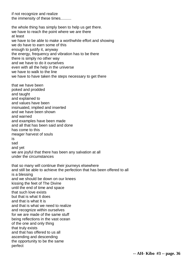if not recognize and realize the immensity of these times..........

the whole thing has simply been to help us get there. we have to reach the point where we are there at least we have to be able to make a worthwhile effort and showing we do have to earn some of this enough to justify it, anyway the energy, frequency and vibration has to be there there is simply no other way and we have to do it ourselves even with all the help in the universe we have to walk to the line we have to have taken the steps necessary to get there that we have been poked and prodded and taught and explained to and values have been insinuated, implied and inserted and we have been shown and warned and examples have been made and all that has been said and done has come to this meager harvest of souls is sad and yet we are joyful that there has been any salvation at all under the circumstances that so many will continue their journeys elsewhere and still be able to achieve the perfection that has been offered to all is a blessing and we should be down on our knees kissing the feet of The Divine until the end of time and space

that such love exists but that is what It does and that is what It is and that is what we need to realize and recognize within ourselves for we are made of the same stuff being reflections in the vast ocean of the one and only thing that truly exists and that has offered to us all ascending and descending the opportunity to be the same perfect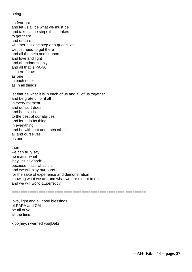being

so fear not and let us all be what we must be and take all the steps that it takes to get there and endure whether it is one step or a quadrillion we just need to get there and all the help and support and love and light and abundant supply and all that is PAPA is there for us as one in each other as in all things let that be what it is in each of us and all of us together and be grateful for it all in every moment and do as It does and be as It is to the best of our abilities and let It do Its thing in everything and be with that and each other all and ourselves as one then we can truly say

no matter what 'hey, it's all good!' because that's what it is and we will play our parts for the sake of experience and demonstration knowing what we are and what we are meant to do and we will work it...perfectly.

================================================== =========

love, light and all good blessings of PAPA and CM be all of you all the time!

kibo[hey, i warned you]Dabi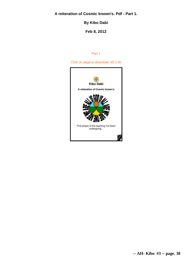**A reiteration of Cosmic known's. Pdf - Part 1.**

**By Kibo Dabi**

**Feb 8, 2012**

#### Part 1

Click on page to download. 65.1 kb

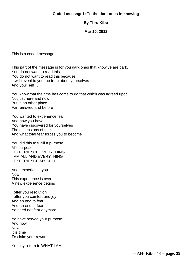## **Coded message1: To the dark ones in knowing**

## **By Thru Kibo**

## **Mar 10, 2012**

This is a coded message

This part of the message is for you dark ones that know ye are dark. You do not want to read this You do not want to read this because It will reveal to you the truth about yourselves And your self…

You know that the time has come to do that which was agreed upon Not just here and now But in an other place Far removed and before

You wanted to experience fear And now you have You have discovered for yourselves The dimensions of fear And what total fear forces you to become

You did this to fulfill a purpose MY purpose I EXPERIENCE EVERYTHING I AM ALL AND EVERYTHING I EXPERIENCE MY SELF

And I experience you Now This experience is over A new experience begins

I offer you resolution I offer you comfort and joy And an end to fear And an end of fear Ye need not fear anymore

Ye have served your purpose And now Now It is time To claim your reward…

Ye may return to WHAT I AM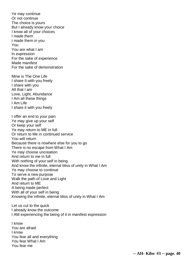Ye may continue Or not continue The choice is yours But I already know your choice I know all of your choices I made them I made them in you You You are what I am In expression For the sake of experience Made manifest For the sake of demonstration

Mine is The One Life I share It with you freely I share with you All that I am Love, Light, Abundance I Am all these things I Am Life I share it with you freely

I offer an end to your pain Ye may give up your self Or keep your self Ye may return to ME in full Or return to Me in continued service You will return Because there is nowhere else for you to go There is no escape from What I Am Ye may choose uncreation And return to me in full With nothing of your self in being And know the infinite, eternal bliss of unity in What I Am Ye may choose to continue To serve a new purpose Walk the path of Love and Light And return to ME A being made perfect With all of your self in being Knowing the infinite, eternal bliss of unity in What I Am

Let us cut to the quick I already know the outcome I AM experiencing the being of it in manifest expression

I know You are afraid I know You fear all and everything You fear What I Am You fear me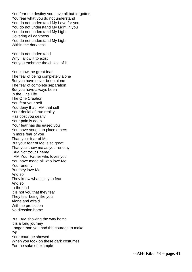You fear the destiny you have all but forgotten You fear what you do not understand You do not understand My Love for you You do not understand My Light in you You do not understand My Light Covering all darkness You do not understand My Light Within the darkness

You do not understand Why I allow it to exist Yet you embrace the choice of it

You know the great fear The fear of being completely alone But you have never been alone The fear of complete separation But you have always been In the One Life The One Creation You fear your self You deny that I AM that self Your denial of true reality Has cost you dearly Your pain is deep Your fear has dis eased you You have sought to place others In more fear of you Than your fear of Me But your fear of Me is so great That you know me as your enemy I AM Not Your Enemy I AM Your Father who loves you You have made all who love Me Your enemy But they love Me And so They know what it is you fear And so In the end It is not you that they fear They fear being like you Alone and afraid With no protection No direction home

But I AM showing the way home It is a long journey Longer than you had the courage to make Yet Your courage showed When you took on these dark costumes For the sake of example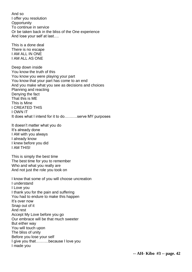And so I offer you resolution **Opportunity** To continue in service Or be taken back in the bliss of the One experience And lose your self at last….

This is a done deal There is no escape I AM ALL IN ONE I AM ALL AS ONE

Deep down inside You know the truth of this You know you were playing your part You know that your part has come to an end And you make what you see as decisions and choices Planning and reacting Denying the fact That this is ME This is Mine I CREATED THIS I OWN IT It does what I intend for it to do……….serve MY purposes

It doesn't matter what you do It's already done I AM with you always I already know I knew before you did I AM THIS!

This is simply the best time The best time for you to remember Who and what you really are And not just the role you took on

I know that some of you will choose uncreation I understand I Love you I thank you for the pain and suffering You had to endure to make this happen It's over now Snap out of it And rest Accept My Love before you go Our embrace will be that much sweeter But either way You will touch upon The bliss of unity Before you lose your self I give you that……….because I love you I made you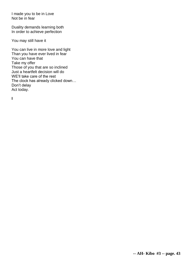I made you to be in Love Not be in fear

Duality demands learning both In order to achieve perfection

You may still have it

You can live in more love and light Than you have ever lived in fear You can have that Take my offer Those of you that are so inclined Just a heartfelt decision will do WE'll take care of the rest The clock has already clicked down… Don't delay Act today.

**I**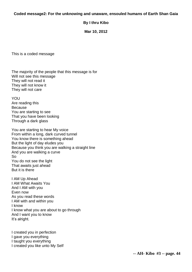**Coded message2: For the unknowing and unaware, ensouled humans of Earth Shan Gaia**

# **By I thru Kibo**

**Mar 10, 2012**

This is a coded message

The majority of the people that this message is for Will not see this message They will not read it They will not know it They will not care

YOU Are reading this Because You are starting to see That you have been looking Through a dark glass

You are starting to hear My voice From within a long, dark curved tunnel You know there is something ahead But the light of day eludes you Because you think you are walking a straight line And you are walking a curve So You do not see the light That awaits just ahead But it is there

I AM Up Ahead I AM What Awaits You And I AM with you Even now As you read these words I AM with and within you I know I know what you are about to go through And I want you to know It's alright.

I created you in perfection I gave you everything I taught you everything I created you like unto My Self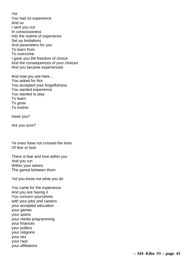Yet You had no experience And so I sent you out In consciousness Into the realms of experience Set up limitations And parameters for you To learn from To overcome I gave you the freedom of choice And the consequences of your choices And you became experienced

And now you are here… You asked for this You accepted your forgetfulness You wanted experience You wanted to play To learn To grow To evolve

Have you?

Are you sure?

Ye ones have not crossed the lines Of fear or love

There is fear and love within you And you run Within your selves The gamut between them

Yet you know not what you do

You came for the experience And you are having it You concern yourselves with your jobs and careers your accepted education your games your sports your media programming your finances your politics your religions your sex your race your affiliations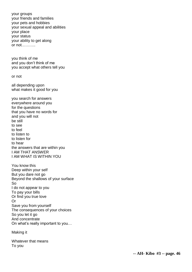your groups your friends and families your pets and hobbies your sexual appeal and abilities your place your status your ability to get along or not………..

you think of me and you don't think of me you accept what others tell you

or not

all depending upon what makes it good for you

you search for answers everywhere around you for the questions that you have no words for and you will not be still to see to feel to listen to to listen for to hear the answers that are within you I AM THAT ANSWER I AM WHAT IS WITHIN YOU

You know this Deep within your self But you dare not go Beyond the shallows of your surface So I do not appear to you To pay your bills Or find you true love Or Save you from yourself The consequences of your choices So you let it go And concentrate On what's really important to you…

Making it

Whatever that means To you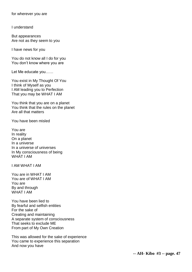# I understand

But appearances Are not as they seem to you

I have news for you

You do not know all I do for you You don't know where you are

Let Me educate you……

You exist in My Thought Of You I think of Myself as you I AM leading you to Perfection That you may be WHAT I AM

You think that you are on a planet You think that the rules on the planet Are all that matters

You have been misled

You are In reality On a planet In a universe In a universe of universes In My consciousness of being WHAT I AM

I AM WHAT I AM

You are in WHAT I AM You are of WHAT I AM You are By and through WHAT I AM

You have been lied to By fearful and selfish entities For the sake of Creating and maintaining A separate system of consciousness That seeks to exclude ME From part of My Own Creation

This was allowed for the sake of experience You came to experience this separation And now you have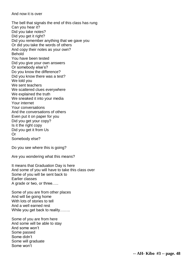#### And now it is over

The bell that signals the end of this class has rung Can you hear it? Did you take notes? Did you get it right? Did you remember anything that we gave you Or did you take the words of others And copy their notes as your own? Behold You have been tested Did you give your own answers Or somebody else's? Do you know the difference? Did you know there was a test? We told you We sent teachers We scattered clues everywhere We explained the truth We sneaked it into your media Your internet Your conversations And the conversations of others Even put it on paper for you Did you get your copy? Is it the right copy Did you get it from Us Or Somebody else?

Do you see where this is going?

Are you wondering what this means?

It means that Graduation Day is here And some of you will have to take this class over Some of you will be sent back to Earlier classes A grade or two, or three…..

Some of you are from other places And will be going home With lots of stories to tell And a well earned rest While you get back to reality……..

Some of you are from here And some will be able to stay And some won't Some passed Some didn't Some will graduate Some won't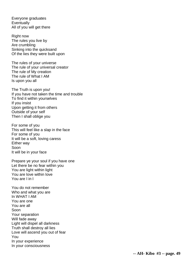Everyone graduates **Eventually** All of you will get there

Right now The rules you live by Are crumbling Sinking into the quicksand Of the lies they were built upon

The rules of your universe The rule of your universal creato r The rule of My creation The rule of What I AM Is upon you all

The Truth is upon you! If you have not taken the time and trouble To find it within yourselves If you insist Upon getting it from others Outside of your self Then I shall oblige you

For some of you This will feel like a slap in the face For some of you It will be a soft, loving caress Either way Soon It will be in your face

Prepare ye your soul if you have one Let there be no fear within you You are light within light You are love within love You are I in I

You do not remember Who and what you are In WHAT I AM You are one You are all Soon Your separation Will fade away Light will dispel all darkness Truth shall destroy all lies Love will ascend you out of fear You In your experience In your consciousness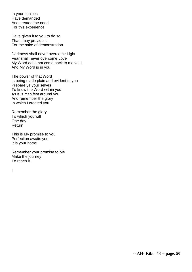In your choices Have demanded And created the need For this experience I Have given it to you to do so That I may provide it For the sake of demonstration

Darkness shall never overcome Light Fear shall never overcome Love My Word does not come back to me void And My Word is in you

The power of that Word Is being made plain and evident to you Prepare ye your selves To know the Word within you As It is manifest around you And remember the glory In which I created you

Remember the glory To which you will One day Return

This is My promise to you Perfection awaits you It is your home

Remember your promise to Me Make the journey To reach it.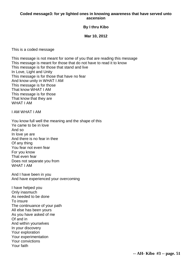### **Coded message3: for ye lighted ones in knowing awareness that have served unto ascension**

# **By I thru Kibo**

**Mar 10, 2012**

This is a coded message

This message is not meant for some of you that are reading this message This message is meant for those that do not have to read it to know This message is for those that stand and live In Love, Light and Unity This message is for those that have no fear And know unity in WHAT I AM This message is for those That know WHAT I AM This message is for those That know that they are WHAT I AM

I AM WHAT I AM

You know full well the meaning and the shape of this Ye came to be in love And so In love ye are And there is no fear in thee Of any thing You fear not even fear For you know That even fear Does not separate you from WHAT I AM

And I have been in you And have experienced your overcoming

I have helped you Only inasmuch As needed to be done To insure The continuance of your path All else has been yours As you have asked of me Of and in And within yourselves In your discovery Your exploration Your experimentation Your convictions Your faith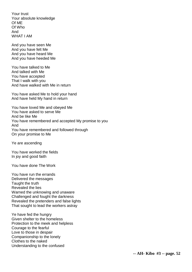Your trust Your absolute knowledge Of ME Of Who And WHAT I AM

And you have seen Me And you have felt Me And you have heard Me And you have heeded Me

You have talked to Me And talked with Me You have accepted That I walk with you And have walked with Me in return

You have asked Me to hold your hand And have held My hand in return

You have loved Me and obeyed Me You have asked to serve Me And be like Me You have remembered and accepted My promise to you And You have remembered and followed through On your promise to Me

Ye are ascending

You have worked the fields In joy and good faith

You have done The Work

You have run the errands Delivered the messages Taught the truth Revealed the lies Warned the unknowing and unaware Challenged and fought the darkness Revealed the pretenders and false lights That sought to lead the workers astray

Ye have fed the hungry Given shelter to the homeless Protection to the meek and helpless Courage to the fearful Love to those in despair Companionship to the lonely Clothes to the naked Understanding to the confused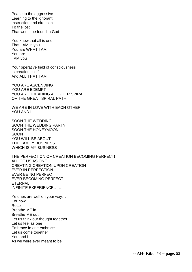Peace to the aggressive Learning to the ignorant Instruction and direction To the lost That would be found in God

You know that all is one That I AM in you You are WHAT I AM You are I I AM you

Your operative field of consciousness Is creation itself And ALL THAT I AM

YOU ARE ASCENDING YOU ARE EXEMPT YOU ARE TREADING A HIGHER SPIRAL OF THE GREAT SPIRAL PATH

WE ARE IN LOVE WITH EACH OTHER YOU AND I

SOON THE WEDDING! SOON THE WEDDING PARTY SOON THE HONEYMOON SOON YOU WILL BE ABOUT THE FAMILY BUSINESS WHICH IS MY BUSINESS

THE PERFECTION OF CREATION BECOMING PERFECT! ALL OF US AS ONE CREATING CREATION UPON CREATION EVER IN PERFECTION EVER BEING PERFECT EVER BECOMING PERFECT ETERNAL INFINITE EXPERIENCE……..

Ye ones are well on your way… For now Relax Breathe ME in Breathe ME out Let us think our thought together Let us feel as one Embrace in one embrace Let us come together You and I As we were ever meant to be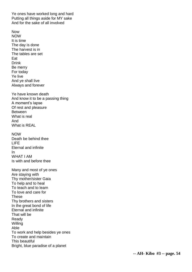Ye ones have worked long and hard Putting all things aside for MY sake And for the sake of all involved

Now NOW It is time The day is done The harvest is in The tables are set Eat Drink Be merry For today Ye live And ye shall live Always and forever Ye have known death And know it to be a passing thing A moment's lapse Of rest and pleasure Between What is real And What is REAL NOW Death be behind thee LIFE Eternal and infinite In WHAT I AM Is with and before thee Many and most of ye ones Are staying with Thy mother/sister Gaia To help and to heal To teach and to learn To love and care for These Thy brothers and sisters In the great bond of life Eternal and infinite That will be Ready **Willing** Able To work and help besides ye ones To create and maintain This beautiful Bright, blue paradise of a planet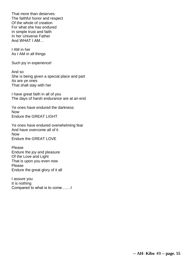That more than deserves The faithful honor and respect Of the whole of creation For what she has endured In simple trust and faith In her Universe Father And WHAT I AM…

I AM in her As I AM in all things

Such joy in experience!

And so She is being given a special place and part As are ye ones That shall stay with her

I have great faith in all of you The days of harsh endurance are at an end

Ye ones have endured the darkness Now Endure the GREAT LIGHT

Ye ones have endured overwhelming fear And have overcome all of it Now Endure the GREAT LOVE

Please Endure the joy and pleasure Of the Love and Light That is upon you even now Please Endure the great glory of it all

I assure you It is nothing Compared to what is to come…….I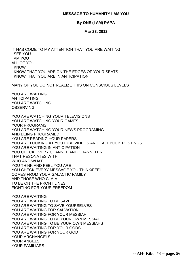### **MESSAGE TO HUMANITY I AM YOU**

# **By ONE (I AM) PAPA**

#### **Mar 23, 2012**

IT HAS COME TO MY ATTENTION THAT YOU ARE WAITING I SEE YOU I AM YOU ALL OF YOU I KNOW I KNOW THAT YOU ARE ON THE EDGES OF YOUR SEATS I KNOW THAT YOU ARE IN ANTICIPATION

MANY OF YOU DO NOT REALIZE THIS ON CONSCIOUS LEVELS

YOU ARE WAITING ANTICIPATING YOU ARE WATCHING **OBSERVING** 

YOU ARE WATCHING YOUR TELEVISIONS YOU ARE WATCHING YOUR GAMES YOUR PROGRAMS YOU ARE WATCHING YOUR NEWS PROGRAMING AND BEING PROGRAMED YOU ARE READING YOUR PAPERS YOU ARE LOOKING AT YOUTUBE VIDEOS AND FACEBOOK POSTINGS YOU ARE WAITING IN ANTICIPATION YOU CHECK EVERY CHANNEL AND CHANNELER THAT RESONATES WITH WHO AND WHAT YOU THINK AND FEEL YOU ARE YOU CHECK EVERY MESSAGE YOU THINK/FEEL COMES FROM YOUR GALACTIC FAMILY AND THOSE WHO CLAIM TO BE ON THE FRONT LINES FIGHTING FOR YOUR FREEDOM

YOU ARE WAITING YOU ARE WAITING TO BE SAVED YOU ARE WAITING TO SAVE YOURSELVES YOU ARE WAITING FOR SALVATION YOU ARE WAITING FOR YOUR MESSIAH YOU ARE WAITING TO BE YOUR OWN MESSIAH YOU ARE WAITING TO BE YOUR OWN MESSIAHS YOU ARE WAITING FOR YOUR GODS YOU ARE WAITING FOR YOUR GOD YOUR ARCHANGELS YOUR ANGELS YOUR FAMILIARS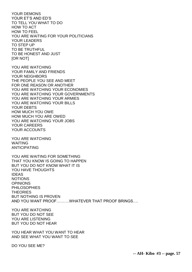YOUR DEMONS YOUR ET'S AND ED'S TO TELL YOU WHAT TO DO HOW TO ACT HOW TO FEEL YOU ARE WAITING FOR YOUR POLITICIANS YOUR LEADERS TO STEP UP TO BE TRUTHFUL TO BE HONEST AND JUST [OR NOT]

YOU ARE WATCHING YOUR FAMILY AND FRIENDS YOUR NEIGHBORS THE PEOPLE YOU SEE AND MEET FOR ONE REASON OR ANOTHER YOU ARE WATCHING YOUR ECONOMIES YOU ARE WATCHING YOUR GOVERNMENTS YOU ARE WATCHING YOUR ARMIES YOU ARE WATCHING YOUR BILLS YOUR DEBTS HOW MUCH YOU OWE HOW MUCH YOU ARE OWED YOU ARE WATCHING YOUR JOBS YOUR CAREERS YOUR ACCOUNTS

YOU ARE WATCHING WAITING ANTICIPATING

YOU ARE WAITING FOR SOMETHING THAT YOU KNOW IS GOING TO HAPPEN BUT YOU DO NOT KNOW WHAT IT IS YOU HAVE THOUGHTS IDEAS NOTIONS OPINIONS PHILOSOPHIES **THEORIES** BUT NOTHING IS PROVEN AND YOU WANT PROOF……….WHATEVER THAT PROOF BRINGS….

YOU ARE WATCHING BUT YOU DO NOT SEE YOU ARE LISTENING BUT YOU DO NOT HEAR

YOU HEAR WHAT YOU WANT TO HEAR AND SEE WHAT YOU WANT TO SEE

DO YOU SEE ME?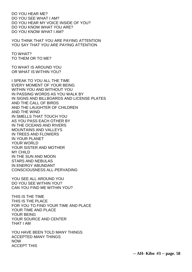DO YOU HEAR ME? DO YOU SEE WHAT I AM? DO YOU HEAR MY VOICE INSIDE OF YOU? DO YOU KNOW WHAT YOU ARE? DO YOU KNOW WHAT I AM?

YOU THINK THAT YOU ARE PAYING ATTENTION YOU SAY THAT YOU ARE PAYING ATTENTION

TO WHAT? TO THEM OR TO ME?

TO WHAT IS AROUND YOU OR WHAT IS WITHIN YOU?

I SPEAK TO YOU ALL THE TIME EVERY MOMENT OF YOUR BEING WITHIN YOU AND WITHOUT YOU IN PASSING WORDS AS YOU WALK BY IN SIGNS AND BILLBOARDS AND LICENSE PLATES AND THE CALL OF BIRDS AND THE LAUGHTER OF CHILDREN AND THE WIND IN SMELLS THAT TOUCH YOU AS YOU PASS EACH OTHER BY IN THE OCEANS AND RIVERS MOUNTAINS AND VALLEYS IN TREES AND FLOWERS IN YOUR PLANET YOUR WORLD YOUR SISTER AND MOTHER MY CHILD IN THE SUN AND MOON STARS AND NEBULAS IN ENERGY ABUNDANT CONSCIOUSNESS ALL-PERVADING

YOU SEE ALL AROUND YOU DO YOU SEE WITHIN YOU? CAN YOU FIND ME WITHIN YOU?

THIS IS THE TIME THIS IS THE PLACE FOR YOU TO FIND YOUR TIME AND PLACE YOUR TIME AND PLACE YOUR BEING YOUR SOURCE AND CENTER THAT I AM

YOU HAVE BEEN TOLD MANY THINGS ACCEPTED MANY THINGS NOW ACCEPT THIS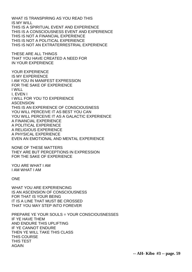WHAT IS TRANSPIRING AS YOU READ THIS IS MY WILL THIS IS A SPIRITUAL EVENT AND EXPERIENCE THIS IS A CONSCIOUSNESS EVENT AND EXPERIENCE THIS IS NOT A FINANCIAL EXPERIENCE THIS IS NOT A POLITICAL EXPERIENCE THIS IS NOT AN EXTRATERRESTRIAL EXPERIENCE

THESE ARE ALL THINGS THAT YOU HAVE CREATED A NEED FOR IN YOUR EXPERIENCE

YOUR EXPERIENCE IS MY EXPERIENCE I AM YOU IN MANIFEST EXPRESSION FOR THE SAKE OF EXPERIENCE I WILL I, EVEN I I WILL FOR YOU TO EXPERIENCE ASCENSION THIS IS AN EXPERIENCE OF CONSCIOUSNESS YOU WILL PERCEIVE IT AS BEST YOU CAN YOU WILL PERCEIVE IT AS A GALACTIC EXPERIENCE A FINANCIAL EXPERIENCE A POLITICAL EXPERIENCE A RELIGIOUS EXPERIENCE A PHYSICAL EXPERIENCE EVEN AN EMOTIONAL AND MENTAL EXPERIENCE

NONE OF THESE MATTERS THEY ARE BUT PERCEPTIONS IN EXPRESSION FOR THE SAKE OF EXPERIENCE

YOU ARE WHAT I AM I AM WHAT I AM

#### ONE

WHAT YOU ARE EXPERIENCING IS AN ASCENSION OF CONSCIOUSNESS FOR THAT IS YOUR BEING IT IS A LINE THAT MUST BE CROSSED THAT YOU MAY STEP INTO FOREVER

PREPARE YE YOUR SOULS = YOUR CONSCIOUSNESSES IF YE HAVE THEM AND ENDURE THIS UPLIFTING IF YE CANNOT ENDURE THEN YE WILL TAKE THIS CLASS THIS COURSE THIS TEST AGAIN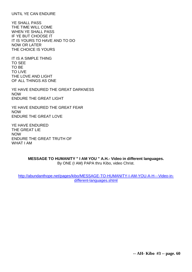#### UNTIL YE CAN ENDURE

YE SHALL PASS THE TIME WILL COME WHEN YE SHALL PASS IF YE BUT CHOOSE IT IT IS YOURS TO HAVE AND TO DO NOW OR LATER THE CHOICE IS YOURS

IT IS A SIMPLE THING TO SEE TO BE TO LIVE THE LOVE AND LIGHT OF ALL THINGS AS ONE

YE HAVE ENDURED THE GREAT DARKNESS NOW ENDURE THE GREAT LIGHT

YE HAVE ENDURED THE GREAT FEAR NOW ENDURE THE GREAT LOVE

YE HAVE ENDURED THE GREAT LIE NOW ENDURE THE GREAT TRUTH OF WHAT I AM

> **MESSAGE TO HUMANITY " I AM YOU " A.H.- Video in different languages.** By ONE (I AM) PAPA thru Kibo, video Christ.

[http://abundanthope.net/pages/kibo/MESSAGE-TO-HUMANITY-I-AM-YOU-A-H---Video-in](http://abundanthope.net/pages/kibo/MESSAGE-TO-HUMANITY-I-AM-YOU-A-H---Video-in-different-languages.shtml)[different-languages.shtml](http://abundanthope.net/pages/kibo/MESSAGE-TO-HUMANITY-I-AM-YOU-A-H---Video-in-different-languages.shtml)

**-- AH- Kibo #3 -- page. 60**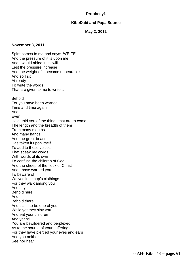# **Prophecy1**

## **KiboDabi and Papa Source**

# **May 2, 2012**

#### **November 8, 2011**

Spirit comes to me and says: 'WRITE' And the pressure of it is upon me And I would abide in its will Lest the pressure increase And the weight of it become unbearable And so I sit At ready To write the words That are given to me to write... Behold For you have been warned Time and time again And I Even I Have told you of the things that are to come The length and the breadth of them From many mouths And many hands And the great beast Has taken it upon itself To add to these voices That speak my words With words of its own To confuse the children of God And the sheep of the flock of Christ And I have warned you To beware of Wolves in sheep's clothings For they walk among you And say Behold here And Behold there And claim to be one of you While yet they slay you And eat your children And yet still You are bewildered and perplexed As to the source of your sufferings For they have pierced your eyes and ears And you neither See nor hear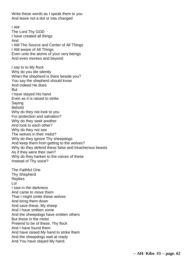Write these words as I speak them to you And leave not a dot or iota changed

I AM The Lord Thy GOD I have created all things And I AM The Source and Center of All Things I AM aware of All Things Even unto the atoms of your very beings And even moreso and beyond I say to to My flock Why do you die silently When the shepherd is there beside you? You say the shepherd should know And indeed He does But I have stayed His hand Even as it is raised to strike Saying Behold Why do they not look to you For protection and salvation? Why do they seek another And look to each other? Why do they not see The wolves in their midst? Why do they ignore Thy sheepdogs And keep them from getting to the wolves? Why do they defend these false and treacherous beasts As if they were their own? Why do they harken to the voices of these Instead of Thy voice? The Faithful One Thy Shepherd **Replies** Lo! I saw in the darkness And came to move them That I might smite these wolves And bring them down And save these, My sheep And I have smitten some And the sheepdogs have smitten others But these in the midst Pretend to be of these, Thy flock And I have found them And have raised My hand to strike them And the sheepdogs wait at ready And You have stayed My hand.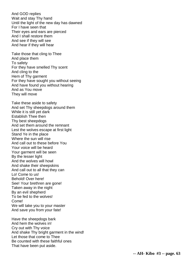And GOD replies Wait and stay Thy hand Until the light of the new day has dawned For I have seen that Their eyes and ears are pierced And I shall restore them And see if they will see And hear if they will hear

Take those that cling to Thee And place them To safety For they have smelled Thy scent And cling to the Hem of Thy garment For they have sought you without seeing And have found you without hearing And as You move They will move

Take these aside to safety And set Thy sheepdogs around them While it is still yet dark Establish Thee then Thy best sheepdogs And set them around the remnant Lest the wolves escape at first light Stand Ye in the place Where the sun will rise And call out to these before You Your voice will be heard Your garment will be seen By the lesser light And the wolves will howl And shake their sheepskins And call out to all that they can Lo! Come to us! Behold! Over here! See! Your brethren are gone! Taken away in the night By an evil shepherd To be fed to the wolves! Come! We will take you to your master And save you from your fate!

Have the sheepdogs bark And hem the wolves in! Cry out with Thy voice And shake Thy bright garment in the wind! Let those that come to Thee Be counted with these faithful ones That have been put aside.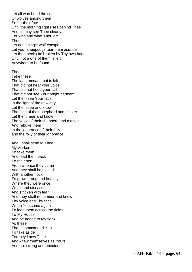Let all who heed the cries Of wolves among them Suffer their fate Until the morning light rises behind Thee And all may see Thee clearly For who and what Thou art. Then Let not a single wolf escape Let your sheepdogs tear them asunder Let their necks be broken by Thy own hand Until not a one of them is left Anywhere to be found. Then Take these The last remnant that is left That did not hear your voice That did not heed your call That did not see Your bright garment Let them see Your face In the light of the new day Let them see and know The face of their shepherd and master Let them hear and know The voice of their shepherd and master And rebuke them In the ignorance of their folly and the folly of their ignorance And I shall send to Thee My workers To take them And lead them back To their pen From whence they came And they shall be placed With another flock To grow strong and healthy Where they were once Weak and diseased And stricken with fear And they shall remember and know Thy voice and Thy face When You come again To lead them across the fields To My House And be added to My flock As these That I commanded You To take aside For they knew Thee And knew themselves as Yours And are strong and obedient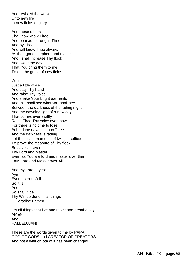And resisted the wolves Unto new life In new fields of glory.

And these others Shall now know Thee And be made strong in Thee And by Thee And will know Thee always As their good shepherd and master And I shall increase Thy flock And await the day That You bring them to me To eat the grass of new fields.

#### **Wait**

Just a little while And stay Thy hand And raise Thy voice And shake Your bright garments And WE shall see what WE shall see Between the darkness of the fading night And the dawning light of a new day That comes ever swiftly Raise Thee Thy voice even now For there is no time to lose Behold the dawn is upon Thee And the darkness is fading Let these last moments of twilight suffice To prove the measure of Thy flock So sayest I, even I Thy Lord and Master Even as You are lord and master over them I AM Lord and Master over All

And my Lord sayest Aye Even as You Will So it is And So shall it be Thy Will be done in all things O Paradise Father!

Let all things that live and move and breathe say AMEN And HALLELUJAH!

These are the words given to me by PAPA GOD OF GODS and CREATOR OF CREATORS And not a whit or iota of it has been changed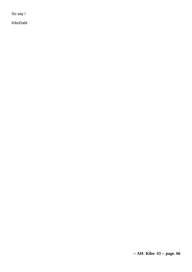So say I

KiboDabi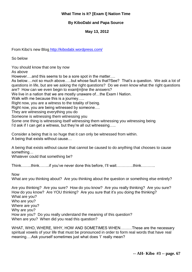# **What Time is It? [Exam I] Nation Time**

# **By KiboDabi and Papa Source**

# **May 13, 2012**

From Kibo's new Blog <http://kibodabi.wordpress.com/>

So below

You should know that one by now

As above

However….and this seems to be a sore spot in the matter….

As below….not so much above…..but whose fault is that?See? That's a question. We ask a lot of questions in life, but are we asking the right questions? Do we even know what the right questions are? How can we even begin to exam[m]ine the answers?

We live in a nation that we are mostly unaware of...the Exam I Nation.

Walk with me because this is a journey.....

Right now, you are a witness to the totality of being.

Right now, you are being witnessed by someone….

They are witnessing everything you do

Someone is witnessing them witnessing you

Some one thing is witnessing itself witnessing them witnessing you witnessing being I'd ask if I can get a witness, but they're all out witnessing.....

Consider a being that is so huge that it can only be witnessed from within. A being that exists without cause…

A being that exists without cause that cannot be caused to do anything that chooses to cause something…

Whatever could that something be?

Think……..think……..if you've never done this before, I'll wait………….think………..

## Now

What are you thinking about? Are you thinking about the question or something else entirely?

Are you thinking? Are you sure? How do you know? Are you really thinking? Are you sure? How do you know? Are YOU thinking? Are you sure that it's you doing the thinking? What are you? Who are you? Where are you? Why are you? How are you? Do you really understand the meaning of this question? When are you? When did you read this question?

WHAT, WHO, WHERE, WHY, HOW AND SOMETIMES WHEN………These are the necessary spiritual vowels of your life that must be pronounced in order to form real words that have real meaning….Ask yourself sometimes just what does 'I' really mean?

**-- AH- Kibo #3 -- page. 67**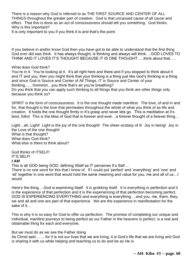There is a reason why God is referred to as THE FIRST SOURCE AND CENTER OF ALL THINGS throughout the greater part of creation. God is that uncaused cause of all cause and effect. That this is done as an act of consciousness should tell you something. God thinks. Why is this important?

It is only important to you if you think it is and that's the point.

If you believe in and/or know God then you have got to be able to understand that the first thing God ever did was think. It has always thought, is thinking and always will think….GOD LOVES TO THINK AND IT LOVES IT'S THOUGHT BECAUSE IT IS ONE THOUGHT…..think about that…..

### What does God think?

You're in it. You're looking at it. It's all right here and there and if you stopped to think about it and IT and you, then you might think that your thinking is a thing just like God's thinking is a thing and since God is Source and Center of All Things, IT is Source and Center of your thinking……hmmmm…you think that's air you're breathing? Do you think that you can apply such thinking to all things that you think are other things only because you think so?

SPIRIT is the form of consciousness. It is the one thought made manifest. The love, of and in and for, that thought is the love that permeates throughout the whole of what you think of as life and creation. It holds the one thought firmly in It's grasp and never lets go. This is meditation at it's best, folks! This is the bliss of God that is forever and ever…a forever thought of a forever thing…

Light…ah, Light! Light is the joy of the one thought! The sheer ecstasy of it! Joy in being! Joy in the Love of the one thought! What is that thought? What does God think? What else is there to think about?

God thinks of ITSELF! IT'S SELF!

#### *I AM*

This is all GOD being GOD, defining ItSelf as IT perceives It's Self….

There is no one word for this that I know of. If I could put 'perfect' and 'everything' and 'one' and 'all' together in one word that would hold the same meaning and value for you, me and all of us…I would.

Here's the thing.... God is examining Itself. It is grokking Itself. It is everything in perfection and it is the experience of that perfection and it is the experiencing of that perfection becoming perfect. GOD IS EXPERIENCING EVERYTHING and everything is everything….and you, me, them, they, we and all and one are part of that experience. We are the experience in manifestation for the sake of it…

This is why it is so easy for God to offer us perfection. The promise of completing our unique and individual, manifest journeys to being perfect as our Father in the heavens is perfect, is a real and obtainable thing for each and everyone.

#### But we must do as we see the Father doing

As Christ said……..for it is not our lives that we are living, it is God's life that we are living and God is sharing it with us while helping and teaching us to do and be as He is.

**-- AH- Kibo #3 -- page. 68**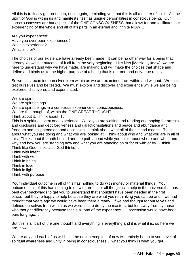All this is to finally get around to, once again, reminding you that this is all a matter of spirit. As the Spirit of God is within us and manifests Itself as unique personalities in conscious being. Our consciousnesses are but aspects of the ONE CONSCIOUSNESS that allows for and facilitates our experiencing of the whole and all of it's parts in an eternal and infinite NOW…

Are you experienced? Have you ever been experienced? What is experience? What is it for?

The choices of our existence have already been made. It can be no other way for a being that already knows the outcome of it all from the very beginning. Like Neo [Matrix…y'know], we are here to understand why we have made, are making and will make the choices that shape and define and binds us to the higher purpose of a being that is our one and only, true reality.

So we must examine ourselves from within as we are examined from within and without. We must test ourselves and be tested. We must explore and discover and experience while we are being explored, discovered and experienced.

We are spirit.

We are spirit beings

We are spirit beings in a conscious experience of consciousness.

We are the thought of, within the ONE GREAT THOUGHT

Think about it. Think about IT.

This is a spiritual event and experience. While you are waiting and reading and hoping for arrests and disclosure and debt forgiveness and galactic visitations and peace and abundance and freedom and enlightenment and ascension…..think about what all of that is and means. Think about what you are doing and what you are looking at. Think about who and what you are in all of this. Think about the path behind and the path ahead while you think about where and when and why and how you are standing now and what you are standing on or for or with or by…..think Think like God thinks…as God thinks…

Think with intent Think with will Think in being Think in love Think in light Think with purpose

Your individual outcome in all of this has nothing to do with money or material things. Your outcome in all of this has nothing to do with arrests or all the galactic help in the universe that has bent over backwards to get you to understand that shouldn't have been needed in the first place…but they're happy to help because they are what you're thinking you can be and if we had thought that years ago we would have been there already. If we had thought for ourselves and defined ourselves from within as we were told to do by the masters, but led away from by those who thought differently because that is all part of the experience……ascension would have been ours long ago…

But this is all part of the one thought and everything is everything and it is what it is, so here we are, now….

Where any and each of us will be in the next perception of now will entirely be up to your level of spiritual awareness and unity in being in consciousness….what you think is what you get.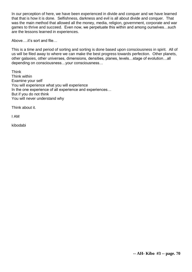In our perception of here, we have been experienced in divide and conquer and we have learned that that is how it is done. Selfishness, darkness and evil is all about divide and conquer. That was the main method that allowed all the money, media, religion, government, corporate and war games to thrive and succeed. Even now, we perpetuate this within and among ourselves…such are the lessons learned in experiences.

Above….it's sort and file…

This is a time and period of sorting and sorting is done based upon consciousness in spirit. All of us will be filed away to where we can make the best progress towards perfection. Other planets, other galaxies, other universes, dimensions, densities, planes, levels…stage of evolution…all depending on consciousness…your consciousness…

Think Think within Examine your self You will experience what you will experience In the one experience of all experience and experiences… But if you do not think You will never understand why

Think about it.

I AM

kibodabi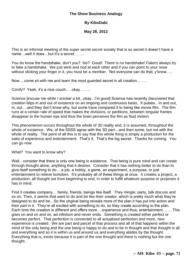## **The Show Business Analogy**

# **By KiboDabi**

**May 28, 2012**

This is an informal meeting of the super secret secret society that is so secret it doesn't have a name…well it does…but it's a secret……..

You do know the handshake, don't you? No? Good! There is no handshake! Fakers always try to fake a handshake. We just wink and nod at each other and if you can point to your nose without sticking your finger in it, you must be a member. Not everyone can do that, y'know.....

Now….come sit with me and learn the most guarded secret in all creation……..

Comfy? Yeah, it's a nice couch…..okay……..

Science [excuse me while I snicker a bit...okay...I'm good] Science has recently discovered that creation blips in and out of existence on an ongoing and continuous basis. It pulses…in and out, in, out….and they don't know why, but some have compared it to being like movie film. The film runs at a certain rate of speed that makes the divisions, or partitions, between singular frames disappear to the human eye and thus the brain perceives the film as fluid motion.

This phenomenon occurs throughout the whole of 3D reality and, it is assumed, throughout the whole of existence. We, of the SSSS agree with the 3D part…and then some, but not with the whole of reality. The point of all this is to say that this whole thing is simply a production for the sake of experience and entertainment. That's it. That's the big secret. Thanks for coming. You can go now.

What? You want to know why?

Well…consider that there is only one being in existence. That being is pure mind and can create through thought alone, anything that it desires. Consider that it has nothing better to do than to give itself something to do….a job, a hobby, a game, an experiment, a purpose, or just entertainment to relieve boredom. It's probably all of these things at once. It creates a project, a production; all thought out from beginning to end, in order to fulfill whatever purpose or purposes it has in mind.

First it creates company….family, friends, beings like itself. They mingle, party, talk discuss and so on. Then, it seems that want to do and be like their creator, which is pretty much what they're designed to do and be…So the original being reveals more of the plan it has put into action and their part in it. They're all excited with something to do, so they create according to the plan. Each time the creation is different and offers more….experience and thus, entertainment……..This goes on and on and on, ad infinitum and never ends. Something is created either perfect or becomes perfect. That perfection is connected to all actualized perfection and more, new experience is created. We are part and parcel of that process and all of that happens within the mind of the only being and the one being is happy to do and to be in thought and that thought is all and everything and so it is within us and around us and everything abides by the thought. Everything that is, exists because it is part of the one thought and there is nothing but the one thought.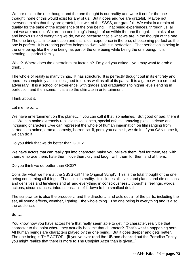We are real in the one thought and the one thought is our reality and were it not for the one thought, none of this would exist for any of us. But it does and we are grateful. Maybe not everyone thinks that they are grateful, but we, of the SSSS, are grateful. We exist in a realm of duality for the sake of the experience of the one being. That being experiences, through us, all that we are and do. We are the one being's thought of us within the one thought. It thinks of us and knows us and everything we do, we do because that is what we are in the thought of the one. The one brings all into perfection and this is our experience in the one, of becoming perfect as the one is perfect. It is creating perfect beings to dwell with it in perfection. That perfection is being in the one being, like the one being, as part of the one being while being the one being. It is creating…..perfect family.

What? Where does the entertainment factor in? I'm glad you asked...you may want to grab a drink…

The whole of reality is many things. It has structure. It is perfectly thought out in its entirety and operates completely as it is designed to do, as well as all of its parts. It is a game with a created adversary. It is a school of experience, with grades and graduations to higher levels ending in perfection and then some. It is also the ultimate in entertainment.

Think about it.

Let me help…….

We have entertainment on this planet...if you can call it that, sometimes. But good or bad, there it is. We can make extremely realistic movies, sets, special effects, amazing plots, intricate and intriguing characters…we can represent the whole of human imagination on film ranging from cartoons to anime, drama, comedy, horror, sci-fi, porn, you name it, we do it. If you CAN name it, we can do it.

Do you think that we do better than GOD?

We have actors that can really get into character, make you believe them, feel for them, feel with them, embrace them, hate them, love them, cry and laugh with them for them and at them…

Do you think we do better than GOD?

Consider what we here at the SSSS call 'The Original Script'. This is the total thought of the one being concerning all things. That script is reality. It includes all levels and planes and dimensions and densities and timelines and all and everything in consciousness…thoughts, feelings, words, actions, circumstances, interactions…all of it down to the smallest detail.

The scriptwriter is also the producer…and the director….and acts out all of the parts, including the set, all sound effects, weather, lighting…the whole thing. The one being is everything and is also the audience.

So…..

You know how you have actors here that really seem able to get into character, really be that character to the point where they actually become that character? That's what's happening here. All human beings are characters played by the one being. But it goes deeper and gets better. The one being is THE ACTOR. [If you've ever read the UB and checked out the Paradise Trinity, you might realize that there is more to The Conjoint Actor than is given...]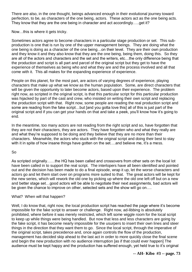There are also, in the one thought, beings advanced enough in their evolutional journey toward perfection, to be, as characters of the one being, actors. These actors act as the one being acts. They know that they are the one being in character and act accordingly…..get it?

Now…this is where it gets tricky.

Sometimes actors agree to become characters in a particular stage production or set. This subproduction is one that is run by one of the upper management beings. They are doing what the one being is doing as a character of the one being…on their level. They are their own production and they know it and they also know that they are the one being, being them, doing this. So they are all of the actors and characters and the set and the writers, etc…the only difference being that the production and script is all part and parcel of the original script but they get to have the experience of themselves as being who and what they are and the process involved and all that come with it. This all makes for the expanding experience of experience.

People on this planet, for the most part, are actors of varying degrees of experience, playing characters that make up what we know as the human population. Some, are direct characters that will be given the opportunity to later become actors, based upon their experience. The problem right now, as scripted in the original script, is that this particular script for this particular production was hijacked by part of the cast and crew, who insisted on writing their own script and replacing the production script with that. Right now, some people are reading the real production script and some are reading from the fake script…but [and you gotta love this] all of this is just part of the original script and if you can get your hands on that and take a peek, you'll know how it's going to end.

In the meantime, too many actors are not reading from the right script and so, have forgotten that they are not their characters, they are actors. They have forgotten who and what they really are and what they're supposed to be doing and they believe that they are no more than their characters. Meanwhile, the actors who stuck with the original script and doing their best to stay with it in spite of how insane things have gotten on the set...and believe me, it's a mess.

### So

As scripted originally……the HQ has been called and crossovers from other sets on the local lot have been called in to support the real script. The interlopers have all been identified and pointed out and the decision has been made to do a final episode, wrap it up, let the worse characters and actors go and let them start over on programs more suited to that. The great actors will be kept for the new series, which will rework the old one by picking up where the old one left off but on a new and better stage set…good actors will be able to negotiate their next assignments, bad actors will be given the chance to improve on other, selected sets and the show will go on….

### What? When will that happen?

Well, I do know that, right now, the local production script has reached the page where it's become impossible for the fake script to answer or challenge. Right now, ad-libbing is absolutely prohibited, where before it was merely restricted, which left some wiggle room for the local script to keep up while things were being handled. But now that less and less characters are going by the fake script, it has become nearly impossible for the usurpers to insert their own lines and steer things in the direction that they want them to go. Since the local script, through the imperative of the original script, takes precedence and, once again controls the flow of the production, management has decided skip ahead to the last act in order to more quickly close the final scene and begin the new production with no audience interruption [as if that could ever happen] The audience must be kept happy and the production has suffered enough, yet held true to it's original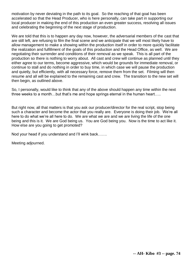motivation by never deviating in the path to its goal. So the reaching of that goal has been accelerated so that the Head Producer, who is here personally, can take part in supporting our local producer in making the end of this production an even greater success, resolving all issues and celebrating the beginning of the next stage of production.

We are told that this is to happen any day now, however, the adversarial members of the cast that are still left, are refusing to film the final scene and we anticipate that we will most likely have to allow management to make a showing within the production itself in order to more quickly facilitate the realization and fulfillment of the goals of this production and the Head Office, as well. We are negotiating their surrender and conditions of their removal as we speak. This is all part of the production so there is nothing to worry about. All cast and crew will continue as planned until they either agree to our terms, become aggressive, which would be grounds for immediate removal, or continue to stall and do nothing in order to buy time, in which case we will pause the production and quietly, but efficiently, with all necessary force, remove them from the set. Filming will then resume and all will be explained to the remaining cast and crew. The transition to the new set will then begin, as outlined above.

So, I personally, would like to think that any of the above should happen any time within the next three weeks to a month…but that's me and hope springs eternal in the human heart…..

But right now, all that matters is that you ask our producer/director for the real script, stop being such a character and become the actor that you really are. Everyone is doing their job. We're all here to do what we're all here to do. We are what we are and we are living the life of the one being and this is it. We are God being us. You are God being you. Now is the time to act like it. How else are you going to get promoted?

Nod your head if you understand and I'll wink back…….

Meeting adjourned.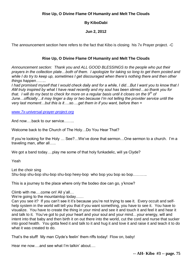# **By KiboDabi**

**Jun 2, 2012**

The announcement section here refers to the fact that Kibo is closing his 7x Prayer project. -C

# **Rise Up, O Divine Flame Of Humanity and Melt The Clouds**

*Announcement section: Thank you and ALL GOOD BLESSINGS to the people who put their prayers in the collection plate…both of them. I apologize for taking so long to get them posted and while I do try to keep up, sometimes I get discouraged when there's nothing there and then other things happen……..*

*I had promised myself that I would check daily and for a while, I did…But I want you to know that I AM truly inspired by what I have read recently and my soul has been stirred…so thank you for that. I will do my best to check for more on a regular basis until it closes on the 9th of June…officially…it may linger a day or two because I'm not telling the provider service until the very last moment…but this is it….so….get them in if you want, before then =*

*[www.7x-universal-prayer-project.org](http://www.7x-universal-prayer-project.org/)*

And now….back to our service……..

Welcome back to the Church of The Holy…Do You Hear That?

If you're looking for the Holy … See?…We've done that sermon…One sermon to a church. I'm a traveling man, after all…..

We got a band today....play me some of that holy funkadelic, will ya Clyde?

Yeah

Let the choir sing Shu-bop shu-bop shu-bop shu-bop heey-bop who bop you bop so bop………..

This is a journey to the place where only the bodeo doe can go, y'know?

Climb with me….come on! All y'all…

We're going to the mountaintop today......

Can you see it? If you can't see it it's because you're not trying to see it. Every occult and selfhelp system in the world will tell you that if you want something, you have to see it. You have to visualize. You have to create the thing in your mind and see it and touch it and feel it and hear it and talk to it. You've got to put your heart and your soul and your mind…your energy, will and intent into that baby and then birth it on out there into the world, cut the cord and nurse that sucker into good health. You gotta feed it and talk to it and hug it and love it and raise it and teach it to do what it was created to do.

That's the stuff! My man Clyde's feelin' them riffs today! Flow on, baby!

Hear me now….and see what I'm talkin' about….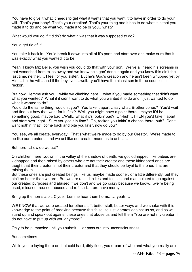You have to give it what it needs to get what it wants that you want it to have in order to do your will. That's your baby! That's your creation! That's your thing and it has to do what it is that you made it to do and be what you made it to be or you…what?

What would you do if it didn't do what it was that it was supposed to do?

You'd get rid of it!

You take it back in. You'd break it down into all of it's parts and start over and make sure that it was exactly what you wanted it to be.

Yeah, I know Miz Belle, you wish you could do that with your son. We've all heard his screams in that woodshed from miles away and we know he's gon' done it again and you know this ain't the last time, neither…. I feel for you sister. But he's God's creation and he ain't been whupped yet by Him….but he will…and if the boy lives…well…you'll have the nicest son in three counties, I reckon.

But now…lemme ask you…while we climbing here… what if you made something that didn't want what you wanted? What if it didn't want to do what you wanted it to do and it just wanted to do what it wanted to do?

You'd do the same thing, wouldn't you? You take it apart….say what, Brother Jones? You'd wait and find out how that went for it, first? Well, you might have a point there…maybe it'd be something good, maybe bad...Well...what if it's lookin' bad? Uh-huh...THEN you'd take it apart and start over, right…Sure you got it in time? Oh, reckon you takin' a chance there, huh? Don't want nothin' that'll come back and bite you later, now do you?

You see, we all create, everyday. That's what we're made to do by our Creator. We're made to be like our creator is and we act like our creator made us to act…….

But here how do we act?

Oh children, here…down in the valley of the shadow of death, we got kidnapped, like babies are kidnapped and then raised by others who are not their creator and these kidnapped ones are taught that their creator is not their creator and that they should be loyal to the ones that are raising them.

But these ones are just created beings, like us, maybe made sooner, or a little differently, but they ain't no better than we are. But we are raised in lies and fed lies and manipulated to go against our created purposes and abused if we don't and we go crazy because we know….we're being used, misused, reused, abused and refused…Lord have mercy!

Bring up the horns a bit, Clyde. Lemme hear them horns……yeah….

WE KNOW that we were created for other stuff, better stuff, better ways and we shake with this knowledge to the point of breaking because this false life just vibrates against us so, and so we stand up and speak out against these ones that abuse us and tell them "You are not my creator! I do not have to put up with you anymore!"

Only to be pummeled until you submit…..or pass out into unconsciousness…..

But sometimes

While you're laying there on that cold hard, dirty floor, you dream of who and what you really are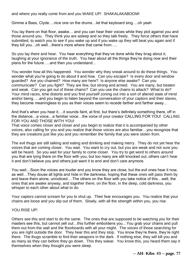and where you really come from and you WAKE UP! SHAKALAKABOOM!

Gimme a Bass, Clyde….nice one on the drums…let that keyboard sing….oh yeah

You lay there on that floor, awake… and you can hear their voices while they plot against you and those around you. They think you are asleep and so they talk freely. They force others that have submitted, to watch you to see if you wake up and if you wake up they will beat you again and if they kill you…oh well…there's more where that came from…..

So you lay there and hear. You hear everything that they've done while they brag about it, laughing at your ignorance of the truth. You hear about all the things they're doing now and their plans for the future…..and then you understand…

You wonder how all this happened. You wonder why they sneak around to do these things. You wonder what you're going to do about it and how. Can you escape? Is every door and window guarded? Are you chained? How many are here? Is anyone else awake? Can you communicate? Can you fight? They are few, but strong and armed. You are many, but beaten and weak. Can you get out of these chains? Can you use the chains to attack? What to do? Your mind races, time distorts and you find yourself zoning out into a sort of altered state of mind and/or being…..and you begin to listen beyond the conversation of your captors and their slaves, they become meaningless to you as their voices seem to recede farther and farther away…

And that's when you hear it….it sounds faint, at first, but there's definitely something there, off in the distance…a voice…a familiar voice…the voice of your creator CALLING FOR YOU! CALLING FOR YOU AND THOSE WITH YOU!

That voice comes closer and closer and you begin to realize that it is accompanied by other voices, also calling for you and you realize that those voices are also familiar…you recognize that they are creations just like you and you remember the family that you were stolen from.

The evil thugs are still talking and eating and drinking and making merry. They do not yet hear the voices that are coming closer. You wait. You want to cry out, but you are weak and not sure you will be heard. So you wait for your family to come closer. You try to get word to others around you that are lying there on the floor with you, but too many are still knocked out, others can't hear it and don't believe you and others just want it to end and don't care anymore.

You wait…Soon the voices are louder and you know they are close, but the evil ones hear it now, as well…They douse all lights and hide in the darkness, hoping that these ones will pass them by and leave them alone, unnoticed….The others on the floor with you take notice of this…well, the ones that are awake anyway, and together there, on the floor, in the deep, cold darkness, you whisper to each other about what to do.

Your captors cannot scream for you to shut up. Their fear encourages you. You realize that your chains are loose and you slip out of them. Slowly, with all the strength within you, you rise.

#### YOU RISE UP!

Others see this and start to do the same. The ones that are supposed to be watching you for their masters see this, but cannot yell out…this further emboldens you…You grab your chains and pull them out from the wall and the floorboards with all your might. The voices of those searching for you are right outside the door. They hear this and they stop. You know they're there, they're right there. The thugs scramble to find their weapons in the dark. If nothing else, they will kill you and as many as they can before they go down. This they swear. You know this, you heard them say it themselves when they thought you were sleep.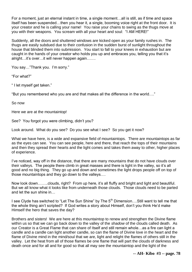For a moment, just an eternal instant in time, a single moment…all is still, as if time and space itself has been suspended…then you hear it, a single, booming voice right at the front door. It is your creator and he is calling your name! You raise your chains to swing as the thugs move at you with their weapons. You scream with all your heart and soul: "I AM HERE!"

Suddenly, all the doors and shuttered windows are kicked open as your family rushes in. The thugs are easily subdued due to their confusion in the sudden burst of sunlight throughout the house that blinded them into submission. You start to fall to your knees in exhaustion but are caught in the hands of your creator who holds you up and embraces you, telling you that it's alright…it's over…it will never happen again…….

You say..."Thank you. I'm sorry."

"For what?"

" I let myself get taken."

"But you remembered who you are and that makes all the difference in the world…."

So now

Here we are at the mountaintop!

See? You forgot you were climbing, didn't you?

Look around. What do you see? Do you see what I see? So you get it now?

What we have here, is a wide and expansive field of mountaintops. There are mountaintops as far as the eyes can see. You can see people, here and there, that reach the tops of their mountains and then they spread their hearts and the light comes and takes them away to other, higher places of experience.

I've noticed, way off in the distance, that there are many mountains that do not have clouds over their valleys. The people there climb in great masses and there is light in the valley, so it's all good and no big thing. They go up and down and sometimes the light drops people off on top of those mountaintops and they go down to the valleys….

Now look down……..clouds, right? From up here, it's all fluffy and bright and light and beautiful. But we all know what it looks like from underneath those clouds. Those clouds need to be parted and let the sun shine in…

I see Clyde has switched to "Let The Sun Shine" by The 5<sup>th</sup> Dimension....Still want to tell me that the whole thing ain't scripted? If God writes a story about Himself, don't you think He'd make Himself the hero that saves the day?

Brothers and sisters! We are here at this mountaintop to renew and strengthen the Divine flame within us so that we can go back down to the valley of the *shadow* of the clouds called death. As our Creator is a Great Flame that can share of Itself and still remain whole…as a fire can light a candle and a candle can light another candle, so can the flame of Divine love in the heart and the flame of Divine mind in the mind/soul that we are, light and relight the flames of others still in the valley. Let the heat from all of those flames be one flame that will part the clouds of darkness and death once and for all and for good so that all may see the mountaintop and the light of the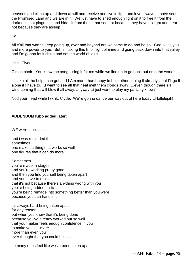heavens and climb up and down at will and receive and live in light and love always. I have seen the Promised Land and we are in it. We just have to shed enough light on it to free it from the darkness that plagues it and hides it from those that see not because they have no light and hear not because they are asleep.

So

All y'all that wanna keep going up, over and beyond are welcome to do and be so. God bless you and more power to you. But I'm taking this lil' ol' light of mine and going back down into that valley and I'm gonna let it shine and set the world ablaze….

Hit it, Clyde!

C'mon choir. You know the song…sing it for me while we line up to go back out onto the world!

I'll take all the help I can get and I Am more than happy to help others doing it already…but I'll go it alone if I have to….I want to see all that heat melt them clouds away…..even though there's a wind coming that will blow it all away, anyway…i just want to play my part….y'know?

Nod your head while I wink, Clyde. We're gonna dance our way out of here today…Hallelujah!

# **ADDENDUM Kibo added later:**

WE were talking.......

and i was reminded that sometimes one makes a thing that works so well one figures that it can do more......

Sometimes you're made in stages and you're working pretty good and then you find yourself being taken apart and you have to realize that it's not because there's anything wrong with you you're being added on to you're being remade into something better than you were because you can handle it

it's always hard being taken apart for any reason but when you know that it's being done because you've already worked out so well that your maker feels enough confidence in you to make you.......more.... more than even you ever thought that you could be........

so many of us feel like we've been taken apart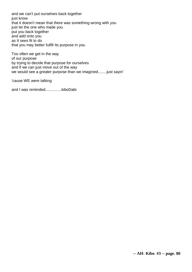and we can't put ourselves back together just know that it doesn't mean that there was something wrong with you just let the one who made you put you back together and add onto you as It sees fit to do that you may better fulfill Its purpose in you

Too often we get in the way of our purpose by trying to decide that purpose for ourselves and if we can just move out of the way we would see a greater purpose than we imagined........just sayin'

'cause WE were talking

and I was reminded...............kiboDabi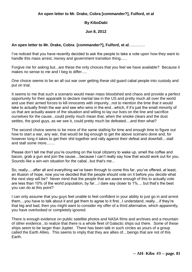# **By KiboDabi**

# **Jun 8, 2012**

# **An open letter to Mr. Drake, Cobra [commander?], Fulford, et al**...............

I've noticed that you have recently decided to ask the people to take a vote upon how they want to handle this mass arrest, money and government transition thing......

Forgive me for asking but...are these the only choices that you feel we have available? Because it makes no sense to me and I beg to differ.....

One choice seems to be an all out war over getting these old guard cabal people into custody and put on trial.

It seems to me that such a scenario would mean mass bloodshed and chaos and provide a perfect opportunity for their apparatik to declare martial law in the US and pretty much all over the world and use their armed forces to kill innocents with impunity...not to mention the time that it would take to actually finish the war and see who wins in the end...which, if it's just the small minority of us that are actually aware of the situation and willing to lay our lives on the line and sacrifice ourselves for the cause...could pretty much mean that, when the smoke clears and the dust settles, the good guys, as we see it, could pretty much be defeated....and then what?

The second choice seems to be more of the same stalling for time and enough time to figure out how to start a war, any war, that would be big enough to get the above scenario done and, for however long it takes to get their shit together and rally against their defeat and downfall....stall and stall some more........

Please don't tell me that you're counting on the local citizenry to wake up, smell the coffee and bacon, grab a gun and join the cause....because I can't really say how that would work out for you. Sounds like a win-win situation for the cabal...but that's me...

So, really.....after all and everything we've been through to come this far, you've offered, at least, an illusion of hope, now you've decided that the people should vote on it before you decide what the next step will be? Never mind that the people that are aware enough of this to actually vote are less than 10% of the world population, by far....i dare say closer to 1%.... but that's the best you can do at this point?

I can only assume that you guys feel unable to feel confident in your ability to just go in and arrest them....you have to talk about it and get them to agree to it first...I understand, really....if they're that big and bad, then you might want to consider my offer of a third alternative, which apparently, you have overlooked or completely ignored.

There is enough evidence on public satellite photos and NASA films and archives and a mountain of other evidence...to realize that there is a whole fleet of Galactic ships out there. Some of these ships seem to be larger than Jupiter. There has been talk in such circles as yours of a group called the Earth Allies. This seems to imply that they are allies of....beings that are not of this Earth.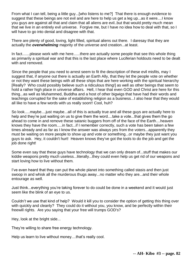From what I can tell, being a little guy...[who listens to me?] That there is enough evidence to suggest that these beings are not evil and are here to help us get a leg up...as it were....I know you guys are against all that and claim that all aliens are evil..but that would pretty much mean that we live in an entirely evil universe. Forgive me, but I have no idea how to deal with that, so I will have to go into denial and disagree with that.

There are plenty of good, loving, light filled, spiritual aliens out there. I daresay that they are actually the *overwhelming* majority of the universe and creation...at least.

In fact.......please work with me here......there are actually some people that see this whole thing as primarily a spiritual war and that this is the last place where Luciferian holdouts need to be dealt with and removed.

Since the people that you need to arrest seem to fit the description of these evil misfits, may I suggest that, if anyone out there is actually an Earth Ally, that they let the people vote on whether or not they want these beings with all these ships that are here working with the spiritual hierarchy [Really? Who could possibly believe such a ridiculous thing!] as well as other beings that seem to hold a rather high place in universe affairs. Hell, I hear that even GOD and Christ are here for this thing...as well as Muhammed, Buddha and a host of other bigwigs that have had their words and teachings corrupted for the sake of establishing religion as a business...I also hear that they would all like to have a few words with us really soon!! Cool, huh?

So look.....maybe....just maybe...all of this is actually true and all these guys are actually here to help and they're just waiting on us to give them the word....take a vote...that gives them the go ahead to come in and remove these satanic buggers from off of the face of the Earth....heaven knows they have the room.....in fact...if I remember correctly, such a vote has been taken a few times already and as far as I know the answer was always yes from the voters...apparently they must be waiting on more people to show up and vote or something...or maybe they just want you guys to ask. Hey, it couldn't hurt! Heaven knows they've got the tools to do the job and get the job done right!

Some even say that these guys have technology that we can only dream of...stuff that makes our kiddie weapons pretty much useless...literally...they could even help us get rid of our weapons and start loving how to live without them.

I've even heard that they can put the whole planet into something called stasis and then just swoop in and whisk all the murderous thugs away...no matter who they are...and their whole entourage as well.

Just think...everything you're taking forever to do could be done in a weekend and it would just seem like the blink of an eye to us.

Couldn't we use that kind of help? Would it kill you to consider the option of getting this thing over with quickly and cleanly? They could do it without you, you know, and be perfectly within their freewill rights. Are you saying that your free will trumps GOD's?

Hey, look at the bright side...

They're willing to share free energy technology.

Help us learn to live without money....that's really cool.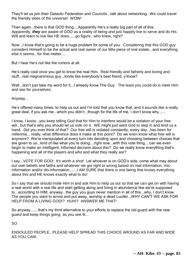They'll let us join their Galactic Federation and Councils...talk about networking...We could travel the friendly skies of the universe! WOW!

Then again...there is that GOD thing....Apparently He's a really big part of all of this. Apparently, *they* are aware of GOD as a reality of being and just happily live to serve and do His Will and learn to live like HE does......go figure...who knew, right?

Now...I know that's going to be a huge problem for some of you. Considering that this GOD guy considers Himself to be the actual and real owner of our little piece of real estate...and everything else it seems...for that matter....

But I hear He's not like the rumors at all.

He's really cool once you get to know the real Him. Real friendly and fatherly and loving and stuff...real magnanimous guy...kinda like everybody's best friend, y'know?

Well...don't just take my word for it...I already know The Guy. The least you could do is meet Him and see for yourselves.

Anyway...

He's offered many times, to help us out and I'm told that you know that, and it sounds like a really great deal, if you ask me...which you didn't...though for the life of me, I don't know why......

I know, I know...you keep telling God that for Him to interfere would be a violation of your free will...but that's why you should let us vote on it. WE might just want God to step in and lend us a hand. Did you ever think of that? Our free will is violated constantly, every day...has been for millennia... really, what difference does it make at this point? Do we even know what free will is anymore? We're manipulated at every turn into deciding upon and choosing between choices that are given to us...kind of like what you're doing....right now...with this vote thing... can we even begin to make an intelligent, informed decision about this? Do we really know everything that's happening and all of the players and who and what they really are?

I say...VOTE FOR GOD! It's worth a shot! Let whoever is on GOD's side, come what may about our own beliefs and faiths and whatever we got right or wrong based on real information, misinformation and/or dis-information.......I AM SURE that there is one being that knows everything about this and HE knows exactly what to do!

So I say that we should invite Him in and ask Him to help us out so that we can get on with having a real world with a real life and start getting along and living in abundance like we're supposed to...according to HIM, anyway...the guy you guys never mention in all of this...why, I don't know. The people you want to arrest and put away, worship a dead Lucifer...WHY CAN'T WE ASK FOR HELP FROM A LIVING GOD!? HUH!? ANSWER ME THAT!

So anyway.......that's my third alternative to your efforts to replace the old guard with the new guard and keep things going as you see fit...

SO

ENSOULED PEOPLE...PLEASE HELP SPREAD THIS CHOICE AROUND AS FAR AND WIDE AS YOU CAN!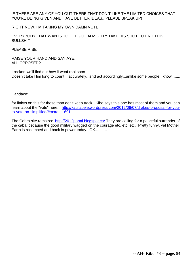### IF THERE ARE ANY OF YOU OUT THERE THAT DON'T LIKE THE LIMITED CHOICES THAT YOU'RE BEING GIVEN AND HAVE BETTER IDEAS...PLEASE SPEAK UP!

RIGHT NOW, I'M TAKING MY OWN DAMN VOTE!

EVERYBODY THAT WANTS TO LET GOD ALMIGHTY TAKE HIS SHOT TO END THIS BULLSHIT

PLEASE RISE

RAISE YOUR HAND AND SAY AYE. ALL OPPOSED?

I reckon we'll find out how it went real soon Doesn't take Him long to count....accurately...and act accordingly...unlike some people I know........

Candace:

for linkys on this for those than don't keep track, Kibo says this one has most of them and you can learn about the "vote" here. [http://kauilapele.wordpress.com/2012/06/07/drakes-proposal-for-you](http://kauilapele.wordpress.com/2012/06/07/drakes-proposal-for-you-to-vote-on-simplified/#more-11691)[to-vote-on-simplified/#more-11691](http://kauilapele.wordpress.com/2012/06/07/drakes-proposal-for-you-to-vote-on-simplified/#more-11691)

The Cobra site remains: <http://2012portal.blogspot.ca/> They are calling for a peaceful surrender of the cabal because the good military wagged on the courage etc, etc, etc. Pretty funny, yet Mother Earth is redemned and back in power today. OK...........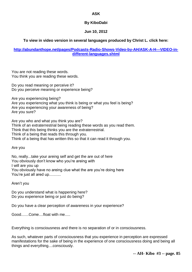# **ASK**

# **By KiboDabi**

# **Jun 10, 2012**

# **To view in video version in several languages produced by Christ L. click here:**

**[http://abundanthope.net/pages/Podcasts-Radio-Shows-Video-by-AH/ASK-A-H---VIDEO-in](http://abundanthope.net/pages/Podcasts-Radio-Shows-Video-by-AH/ASK-A-H---VIDEO-in-different-languages.shtml)[different-languages.shtml](http://abundanthope.net/pages/Podcasts-Radio-Shows-Video-by-AH/ASK-A-H---VIDEO-in-different-languages.shtml)**

You are not reading these words. You think you are reading these words.

Do you read meaning or perceive it? Do you perceive meaning or experience being?

Are you experiencing being? Are you experiencing what you think is being or what you feel is being? Are you experiencing your awareness of being? Are you sure?

Are you who and what you think you are? Think of an extraterrestrial being reading these words as you read them. Think that this being thinks you are the extraterrestrial. Think of a being that reads this through you. Think of a being that has written this so that it can read it through you.

Are you

No, really...take your areing self and get the are out of here You obviously don't know who you're areing with I will are you up You obviously have no areing clue what the are you're doing here You're just all ared up............

Aren't you

Do you understand what is happening here? Do you experience being or just do being?

Do you have a clear perception of awareness in your experience?

Good.......Come....float with me.....

Everything is consciousness and there is no separation of or in consciousness.

As such, whatever parts of consciousness that you experience in perception are expressed manifestations for the sake of being in the experience of one consciousness doing and being all things and everything....consciously.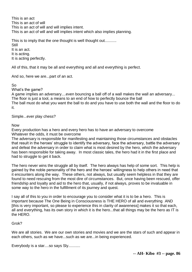This is an act This is an act of will This is an act of will and will implies intent. This is an act of will and will implies intent which also implies planning.

This is to imply that the one thought is well thought out...........

**Still** It is an act. It is acting. It is acting perfectly.

All of this, that it may be all and everything and all and everything is perfect.

And so, here we are...part of an act.

So

What's the game?

A game implies an adversary....even bouncing a ball off of a wall makes the wall an adversary... The floor is just a tool, a means to an end of how to perfectly bounce the ball The ball must do what you want the ball to do and you have to use both the wall and the floor to do

it.

Simple...ever play chess?

Now

Every production has a hero and every hero has to have an adversary to overcome Whatever the odds, it must be overcome

The adversary is responsible for manifesting and maintaining those circumstances and obstacles that result in the heroes' struggle to identify the adversary, face the adversary, battle the adversary and defeat the adversary in order to claim what is most desired by the hero, which the adversary has been responsible for taking away. In most classic tales, the hero had it in the first place and had to struggle to get it back.

The hero never wins the struggle all by itself. The hero always has help of some sort. This help is gained by the noble personality of the hero and the heroes' willingness to help others in need that it encounters along the way. These others, not always, but usually seem helpless in that they are found to need rescuing from the most dire of circumstances. But, once having been rescued, offer friendship and loyalty and aid to the hero that, usually, if not always, proves to be invaluable in some way to the hero in the fulfillment of its journey and quest.

I say all of this to you in order to encourage you to consider what it is to be a hero. This is important because The One Being in Consciousness is THE HERO of all and everything AND [this is very important, so please to experience this in clarity of awareness] makes it so that each, all and everything, has its own story in which it is the hero...that all things may be the hero as IT is the HERO.

# Grok?

We are all stories. We are our own stories and movies and we are the stars of such and appear in each others, such as we have...such as we are...in being experienced.

Everybody is a star....so says Sly...........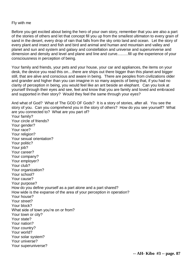#### Fly with me

Before you get excited about being the hero of your own story, remember that you are also a part of the stories of others and let that concept fill you up from the smallest ultimaton to every grain of sand in the desert, every drop of rain that falls from the sky onto land and ocean. Let the story of every plant and insect and fish and bird and animal and human and mountain and valley and planet and sun and system and galaxy and constellation and universe and superuniverse and dimension and density and level and plane and line and curve..........fill up the experience of your consciousness in perception of being.

Your family and friends, your pets and your house, your car and appliances, the items on your desk, the device you read this on....there are ships out there bigger than this planet and bigger still, that are alive and conscious and aware in being. There are peoples from civilizations older and grander and higher than you can imagine in so many aspects of being that, if you had no clarity of perception in being, you would feel like an ant beside an elephant. Can you look at yourself through their eyes and see, feel and know that you are family and loved and embraced and supported in their story? Would they feel the same through your eyes?

And what of God? What of The GOD OF Gods? It is a story of stories, after all. You see the story of you. Can you comprehend you in the story of others? How do you see yourself? What are you connected to? What are you part of? Your family? Your circle of friends? Your gender? Your race? Your religion? Your sexual orientation? Your politic? Your job? Your career? Your company? Your employer? Your club? Your organization? Your school? Your cause? Your purpose? How do you define yourself as a part alone and a part shared? How wide is the expanse of the area of your perception in operation? Your house? Your street? Your block? What side of town you're on or from? Your town or city? Your state? Your nation? Your country? Your world? Your solar system? Your universe? Your superuniverse?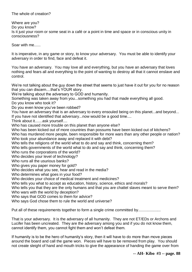### The whole of creation?

Where are you? Do you know? Is it just your room or some seat in a café or a point in time and space or in conscious unity in consciousness?

Soar with me......

It is imperative, in any game or story, to know your adversary. You must be able to identify your adversary in order to find, face and defeat it.

You have an adversary. You may love all and everything, but you have an adversary that loves nothing and fears all and everything to the point of wanting to destroy all that it cannot enslave and control.

We're not talking about the guy down the street that seems to just have it out for you for no reason that you can discern....that's YOUR story.

We're talking about the adversary to GOD and humanity.

Something was taken away from you...something you had that made everything all good.

Do you know who took it?

Do you even know you've been robbed?

You have an adversary that is an adversary to every ensouled being on this planet...and beyond... If you have not identified that adversary...now would be a good time....

Think about it.......ask yourself....

Who has caused more trouble on this planet than anyone else?

Who has been kicked out of more countries than possums have been kicked out of kitchens?

Who has murdered more people, been responsible for more wars than any other people or nation? Who took your abundance away and replaced it with debt?

Who tells the religions of the world what to do and say and think, concerning them?

Who tells governments of the world what to do and say and think, concerning them?

Who runs the corporations of the world?

Who decides your level of technology?

Who runs all the usurious banks?

Who gives you paper money for gold?

Who decides what you see, hear and read in the media?

Who determines what goes in your food?

Who decides your choice of medical treatment and medicines?

Who tells you what to accept as education, history, science, ethics and morals?

Who tells you that they are the only humans and that you are chattel slaves meant to serve them? Who wars with the world by deception?

Who says that GOD comes to them for advice?

Who says God chose them to rule the world and universe?

Put all of these requirements together to form a single crime committed by..........................

That is your adversary. It is the adversary of all humanity. They are not ET/EDs or Archons and Lucifer has been uncreated. They are the adversary among you and if you do not know them, cannot identify them, you cannot fight them and won't defeat them.

If humanity is to be the hero of humanity's story, then it will have to do more than move pieces around the board and call the game won. Pieces will have to be removed from play. You should not create sleight of hand and mouth tricks to give the appearance of handing the game over from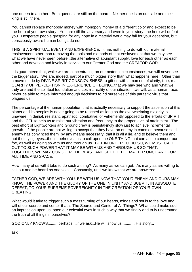one queen to another. Both queens are still on the board. Neither one is on our side and their king is still there.

You cannot replace monopoly money with monopoly money of a different color and expect to be the hero of your own story. You are still the adversary and even in your story, the hero will defeat you. Desperate people grasping for any hope in a material world may fall for your deception, but consciously aware human beings do not.

THIS IS A SPIRITUAL EVENT AND EXPERIENCE. It has nothing to do with our material enslavement other than removing the tools and methods of that enslavement that we may see what we have never seen before...the alternative of abundant supply, love for each other as each other and devotion and loyalty in service to our Creator God and the CREATOR GOD.

It is guaranteed that, while we are concentrating on our material circumstances, we will never see the bigger story. We are, indeed, part of a much bigger story than what happens here. Other than a move made by DIVINE SPIRIT CONSCIOUSNESS to gift us with a moment of clarity, true, real CLARITY OF PERCEPTION IN EXPERIENCE OF BEING...that we may see who and what we truly are and the spiritual foundation and cosmic reality of our situation...we will, as a human race, never be able to make informed enough decisions to rid ourselves of this parasitic virus that plagues us.

The percentage of the human population that is actually necessary to support the ascension of this planet and its peoples is never going to be reached as long as the overwhelming majority is unaware, in denial, resistant, apathetic, combative, or vehemently opposed to the efforts of SPIRIT and the GFL to help us to raise our vibration and frequency to the proper level of attainment. The best effort of Lightworkers and Ground crew is painstakingly slow just to achieve incremental growth. If the people are not willing to accept that they have an enemy in common because said enemy has convinced them, by any means necessary, that it is all a lie, and to believe them and not their lying eyes...then it behooves us to call upon the ONE THING that can act to conquer our foe, as well as doing so with us and through us...BUT IN ORDER TO DO SO, WE MUST CALL OUT TO SUCH POWER THAT IT MAY BE WITH US AND THROUGH US SO THAT, TOGETHER, WE MAY CONQUER THE BEAST AND SETTLE THE MATTER ONCE AND FOR ALL TIME AND SPACE.

How many of us will it take to do such a thing? As many as we can get. As many as are willing to call out and be heard as one voice. Constantly, until we know that we are answered....

FATHER GOD, WE ARE WITH YOU. BE WITH US NOW THAT YOUR ENEMY AND OURS MAY KNOW THE POWER AND THE GLORY OF THE ONE IN UNITY AND SUBMIT, IN ABSOLUTE DEFEAT, TO YOUR SUPREME SOVEREIGNITY IN THE CREATION OF YOUR OWN CREATING.

What would it take to trigger such a mass turning of our hearts, minds and souls to the love and will of our source and center that is The Source and Center of All Things? What could make such an impression upon us, open our celestial eyes in such a way that we finally and truly understand the truth of all things in ourselves?

GOD ONLY KNOWS..........perhaps....if we ask...He will show us.............His story...

ask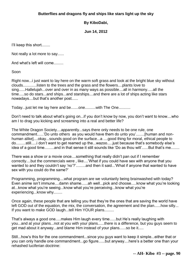# **Butterflies and dragons fly and ships like stars light up the sky**

# **By KiboDabi,**

**Jun 14, 2012**

I'll keep this short........

Not really a lot more to say......

And what's left will come.........

Soon

Right now...i just want to lay here on the warm soft grass and look at the bright blue sky without clouds.............listen to the trees and the grass and the flowers....plants love to sing......Hallelujah...over and over in as many ways as possible....all in harmony.....all the time.....so do stars...and ships...and starships....and there are a lot of ships acting like stars nowadays....but that's another post......

Today... just let me lay here and be.......one...........with The One...........

Don't need to talk about what's going on...if you don't know by now, you don't want to know....who am I to drag you kicking and screaming into a real and better life?

The White Dragon Society....apparently...says there only needs to be one rule, one commandment......'Do unto others as you would have them do unto you'........[human and nonhuman alike]....okay...sounds good on the surface...a ....good thing for moral, ethical people to do.........still.....i don't want to get reamed up the...wazoo.....just because that's somebody else's idea of a good time........and in that sense it still sounds like 'Do as thou wilt'......But that's me........

There was a show or a movie once....something that really didn't pan out if I remember correctly....but the commercials were , like....'What if you could have sex with anyone that you wanted to and they couldn't say 'no'?'.........and then it said...'What if anyone that wanted to have sex with you could do the same?'

Programming, programming....what program are we voluntarily being brainwashed with today? Even anime isn't immune....damn shame......ah well...pick and choose.....know what you're looking at...know what you're seeing...know what you're perceiving...know what you're experiencing...know why........

Once again, these people that are telling you that they're the ones that are saving the world have left GOD out of the equation, the mix, the conversation, the agreement and the plan......how silly... If you want to make GOD laugh...tell Him YOUR plans.........

That's always a good one.....makes Him laugh every time......but He's really laughing with you...and at your plans...not at you with your plans......there is a difference, but you guys seem to get mad about it anyway...and blame Him instead of your plans......so be it.....

Still...how's this for the one commandment...since you guys want to keep it simple...either that or you can only handle one commandment...go figure......but anyway....here's a better one than your rehashed luciferian doctrine: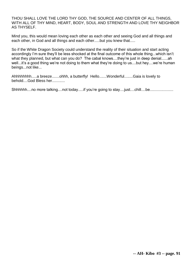THOU SHALL LOVE THE LORD THY GOD, THE SOURCE AND CENTER OF ALL THINGS, WITH ALL OF THY MIND, HEART, BODY, SOUL AND STRENGTH AND LOVE THY NEIGHBOR AS THYSELF.

Mind you, this would mean loving each other as each other and seeing God and all things and each other, in God and all things and each other.....but you knew that.....

So if the White Dragon Society could understand the reality of their situation and start acting accordingly I'm sure they'll be less shocked at the final outcome of this whole thing...which isn't what they planned, but what can you do? The cabal knows....they're just in deep denial......ah well...it's a good thing we're not doing to them what they're doing to us....but hey....we're human beings...not like...

Ahhhhhhhh.....a breeze.......ohhh, a butterfly! Hello.......Wonderful........Gaia is lovely to behold....God Bless her............

Shhhhhh....no more talking....not today.....if you're going to stay....just....chill....be....................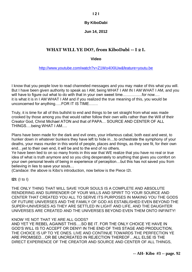# **By KiboDabi**

**Jun 14, 2012**

# **WHAT WILL YE DO?, from KiboDabi -- I 2 I.**

**Video**

<http://www.youtube.com/watch?v=Z1Wo4IXliUw&feature=youtu.be>

I know that you people love to read channeled messages and you may make of this what you will. But I have been given authority to speak as I AM, being WHAT I AM IN I AM WHAT I AM, and you will have to figure out what to do with that in your own sweet time……………for now…. it is what it is in I AM WHAT I AM and if you realized the true meaning of this, you would be unconcerned for anything…..FOR IT IS TIME…….

Truly, it is time for all of this bullshit to end and things to be set straight from what was made crooked by those among you that would rather follow their own wills rather than the Will of their Creator God, Christ Michael ATON and that of PAPA… SOURCE AND CENTER OF ALL THINGS….being WHAT I AM….

Plans have been made for the dark and evil ones, your infamous cabal, both east and west, to hunker down in whatever bunkers they have left to hide in…to orchestrate the symphony of your deaths, your mass murder in this world of people, places and things, as they see fit, for their own end…yet to their own end, it will be and to the end of no others.

Ye have been lied to on so many fronts in this war that WE realize that you have no real or true idea of what is truth anymore and so you cling desperately to anything that gives you comfort on your own personal levels of being in experience of perception…but this has not saved you from believing in lies to save your souls…

(Candace: the above is Kibo's introduction, now below is the Piece I2I.

**I2I:** (I to I)

THE ONLY THING THAT WILL SAVE YOUR SOULS IS A COMPLETE AND ABSOLUTE RENDERING AND SURRENDER OF YOUR WILLS AND SPIRIT TO YOUR SOURCE AND CENTER THAT CREATED YOU ALL TO SERVE ITS PURPOSES IN MAKING YOU THE GODS OF FUTURE UNIVERSES AND THE FAMILY OF GOD AS ESTABLISHED EVEN BEYOND THE SUPER=UNIVERSES AS THEY ARE SETTLED IN LIGHT AND LIFE, AND THE DAUGHTER UNIVERSES ARE CREATED AND THE UNIVERSES BEYOND EVEN THEM ONTO INFINITY!

# KNOW YE NOT THAT YE ARE ALL GODS?

AND YET YE REBEL AGAINST THIS….SO BE IT. FOR THE ONLY CHOICE YE HAVE IN GOD'S WILL IS TO ACCEPT OR DENY! IN THE END OF THIS STAGE AND PRODUCTION, THE CHOICE IS UP TO YE ONES. LIVE AND CONTINUE TOWARDS THE PERFECTION YE ARE PROMISED…OR BE UNCREATED IN REJECTION THEREOF…ALL ELSE IS THE DIRECT EXPERIENCE OF THE CREATOR AND SOURCE AND CENTER OF ALL THINGS,

**I 2 I**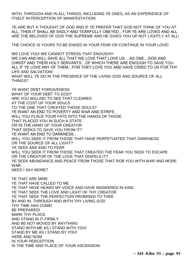WITH, THROUGH AND IN ALL THINGS, INCLUDING YE ONES, AS AN EXPERIENCE OF ITSELF IN PERCEPTION OF MANIFESTATION!

YE ARE BUT A THOUGHT OF GOD AND IF YE PREFER THAT GOD NOT THINK OF YOU AT ALL, THEN IT SHALL BE SADLY AND TEARFULLY OBEYED…FOR YE ARE LOVED AND ALL ARE THE BELOVED OF GOD THE SUPREME AND HE GIVES YOU UP NOT LIGHTLY AT ALL!

THE CHOICE IS YOURS TO BE ENDED IN YOUR FEAR OR CONTINUE IN YOUR LOVE!

WE LOVE YOU! WE CANNOT STRESS THAT ENOUGH!!! WE CAN AND WILL SAVE ALL THAT WE LOVE THAT LOVE US….AS ONE…GOD AND CHRIST AND THEIR HOLY SERVANTS…OF WHICH THERE ARE ENOUGH TO SAVE YOU ALL IF YE LOVE ANY OF THEM…FOR THEY LOVE YOU AND HAVE CRIED TO US FOR THY LIFE AND SALVATION! WHAT WILL YE DO IN THE PRESENCE OF THE LIVING GOD AND SOURCE OF ALL THINGS?

YE WANT DEBT FORGIVENESS WHAT OF YOUR DEBT TO GOD? ARE YOU WILLING TO SEE THAT CLEARED AT THE COST OF YOUR SOULS TO THE ONE THAT CREATED THOSE SOULS? YE WANT AN END TO POVERTY AND WAR AND STRIFE… WILL YOU PLACE YOUR FATE INTO THE HANDS OF THOSE THAT PLACED YOU IN SUCH A STATE OR IN THE HAND OF YOUR CREATOR THAT SEEKS TO SAVE YOU FROM IT? YE WANT AN END TO DARKNESS… WILL YOU SEEK IT FROM THOSE THAT HAVE PERPETUATED THAT DARKNESS OR THE SOURCE OF ALL LIGHT? YE SEEK AND END TO FEAR WILL YOU SEEK IT FROM THOSE THAT CREATED THE FEAR YOU SEEK TO ESCAPE OR THE CREATOR OF THE LOVE THAT DISPELS IT? YE SEEK ABUNDANCE AND PEACE FROM THOSE THAT ROB YOU WITH WAR AND MORE WAR… NEED I SAY MORE? YE THAT ARE MINE YE THAT HAVE CALLED TO ME

YE THAT HAVE HEARD MY VOICE AND HAVE ANSWERED IN KIND YE THAT SEEK THE LOVE AND LIGHT OF THY CREATOR YE THAT SEEK THE PERFECTION PROMISED TO THEE BY AND IN, THROUGH AND WITH THY LIVING GOD THY TIME HAS COME! BE PREPARED! MARK THY PLACE AND STAND IN IT FIRMLY AND BE NOT MOVED BY ANYTHING STAND WITH ME AS I STAND WITH YOU! STAND BY ME AS I STAND BY YOU! HERE AND NOW IN YOUR PERCEPTION IS THE TIME AND PLACE OF YOUR ASCENSION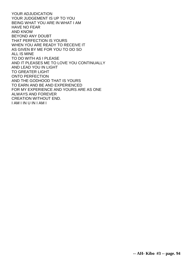YOUR ADJUDICATION YOUR JUDGEMENT IS UP TO YOU BEING WHAT YOU ARE IN WHAT I AM HAVE NO FEAR AND KNOW BEYOND ANY DOUBT THAT PERFECTION IS YOURS WHEN YOU ARE READY TO RECEIVE IT AS GIVEN BY ME FOR YOU TO DO SO ALL IS MINE TO DO WITH AS I PLEASE AND IT PLEASES ME TO LOVE YOU CONTINUALLY AND LEAD YOU IN LIGHT TO GREATER LIGHT ONTO PERFECTION AND THE GODHOOD THAT IS YOURS TO EARN AND BE AND EXPERIENCED FOR MY EXPERIENCE AND YOURS ARE AS ONE ALWAYS AND FOREVER CREATION WITHOUT END. I AM I IN U IN I AM I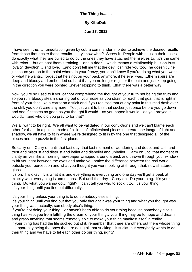# **By KiboDabi**

**Jun 17, 2012**

I have seen the…….meditation given by cobra commander in order to achieve the desired results from those that desire those results…….y'know what? Screw it. People with rings in their noses do exactly what they are pulled to do by the ones they have attached themselves to…it's the same with reins....but at least there's training....and a rider....which means a relationship built on trust, loyalty, devotion….and love…..and don't tell me that the devil can ride you too…he doesn't…he just spurs you on to the point where, in your frenzy, you don't know if you're doing what you want or what he wants…forget that he's not on your back anymore, if he ever was…..them spurs are deep and bloody and embedded so hard that you no longer register the pain and just keep going in the direction you were pointed…never stopping to think….that there was a better way.

Now, you're so used to it you cannot comprehend the thought of your truth not being the truth and so you run, bloody steam snorting out of your nose as you strain to reach that goal that is right in front of your face like a carrot on a stick and if you realized that at any point in this mad dash over the cliff, you don't care anymore. You just want to bite that sucker just once before you go down and see if it tastes as good as you thought it would…as you hoped it would…as you prayed it would…..and who did you pray to for that?

We all want to be right. We all want to be validated in our convictions and we can't blame each other for that. In a puzzle made of billions of infinitesimal pieces to create one image of light and shadow, we all have to fit in where we're designed to fit in by the one that designed all of the pieces and the puzzle in the first place.

So carry on. Carry on until that last day, that last moment of wondering and doubt and faith and trust and mistrust and distrust and belief and disbelief and unbelief. Carry on until that moment of clarity arrives like a morning newspaper wrapped around a brick and thrown through your window to hit you right between the eyes and make you notice the difference between the real world outside your perception and what you thought you were looking at through that, now shattered glass.

It's on. It's okay. It is what it is and everything is everything and one day we'll get a peek at exactly what everything is and means. But until that day…Carry on. Do your thing. It's your thing. Do what you wanna do….right? I can't tell you who to sock it to…it's your thing. It's your thing until you find out differently.

It's your thing unless your thing is to do somebody else's thing.

It's your thing until you find out that you only thought it was your thing and what you thought was your thing was, actually, somebody else's thing.

If you're not doing your thing…or haven't been able to do your thing because somebody else's thing has kept you from fulfilling the dream of your thing…your thing may be to hope and dream and grasp anything that seems remotely able to make your thing manifest itself in reality….. If your thing has had the life sucked out of it, remember that there are others out there whose thing is apparently being the ones that are doing all that sucking…it sucks, but everybody wants to do their thing and we have to let each other do our thing, right?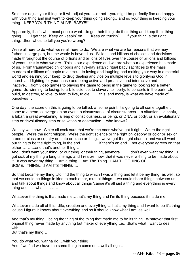So either adjust your thing, or it will adjust you…..or not…you might be perfectly fine and happy with your thing and just want to keep your thing going strong…and so your thing is keeping your thing…KEEP YOUR THING ALIVE, BABY!!!!!!!

Apparently, that's what most people want…to get their thing, do their thing and keep their thing going……..i get that. Keep on keepin' on…….Keep on truckin'……If your thing is the right thing…then who's to tell you you're wrong?

We're all here to do what we're all here to do. We are what we are for reasons that we may fathom in large part, but the whole is beyond us. Billions and billions of choices and decisions made throughout the course of billions and billions of lives over the course of billions and billions of years…this is what we are. This is our experience and we are what our experience has made of us. From traumatized childhoods and five-day satanic ritual baby sacrifices to the mass murders of millions of people at a time….to loving and laughing and making your way in a material world and earning your keep, to drug dealing and vice on multiple levels to glorifying God in church and fighting for your cause and being active and proactive and interactive and inactive…..from video games to playing the game to being in the game to looking for a better game…to winning, to losing, to art, to science, to slavery, to liberty, to concerts in the park….to build, to destroy, to love, to fear, to live, to die……..this, and more, is what we have made of ourselves…

One day, the score on this is going to be tallied, at some point, it's going to all come together, come to a head, converge on an event, a circumstance of circumstances….a situation….a snafu, a fubar, a great awakening, a leap of consciousness, or being, or DNA, or body, or an evolutionary step or devolutionary step or salvation or destruction….who knows?

We say we know. We're all cock sure that we're the ones who've got it right. We're the right people. We're the right religion. We're the right science or the right philosophy or color or sex or creed or class or country or state or place or thing….we've got the right channel and we all want our thing to be the right thing, in the end……………if there's an end….not everyone agrees on that either………..and that's another thing…..

And I don't want your thing, or our thing, or their thing, anymore…….. don't even want my thing. I got sick of my thing a long time ago and I realize, now, that it was never a thing to be made about it. It was never my thing. I Am a thing. I Am The Thing. I AM THE THING OF SOME…THING….I AM ITS THING…..

So that became my thing…to find the thing to which I was a thing and let it be my thing, as well, so that we could be things in kind to each other, mutual things….we could share things between us and talk about things and know about all things 'cause it's all just a thing and everything is every thing and it is what it is……

Whatever the thing is that made me…that's my thing and I'm its thing because it made me.

Whatever made all of this... life, creation and everything....that's my thing and I want to be it's thing 'cause I figure it knows about everything and so it should know what I am, as well……..

And that's my thing…being the thing of the thing that made me to be its thing. Whatever that first original thing never made by anything but maker of everything…is…that's what I want to deal with….

But that's my thing…

You do what you wanna do...with your thing And if we find we have the same thing in common…well all right….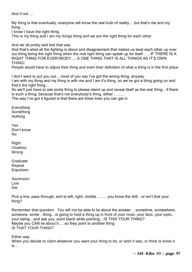And if not….

My thing is that eventually, everyone will know the real truth of reality….but that's me and my thing…

I know I have the right thing.

This is my thing and I am my things thing and we are the right thing for each other.

And we all pretty well feel that way

And that's what all the fighting is about and disagreement that makes us beat each other up over our thing being the right thing when the real right thing can speak up for itself……IF THERE IS A RIGHT THING FOR EVERYBODY…..A ONE THING THAT IS ALL THINGS AS IT'S OWN THING!

People would have to adjust their thing and even their definition of what a thing is in the first place

I don't want to put you out….most of you say I've got the wrong thing, anyway I am with my thing and my thing is with me and I am it's thing, so we've got a thing going on and that's the right thing...

So we'll just have to ask some thing to please stand up and reveal itself as the real thing…if there is such a thing, because that's not everybody's thing, either………

The way I've got it figured is that there are three lines you can get in

Everything **Something Nothing** 

Yes Don't know No

Right **Clueless** Wrong

**Graduate** Repeat Expulsion

Ascension Live Die

Pick a line, pass through, sort to left, right, middle………you know the drill…or isn't that your thing?

Remember that question. You will not be able to lie about the answer….sometime, somewhere, someone, some…thing…is going to hold a thing up in front of your nose, your face, your eyes, your being…and ask you, point blank while pointing…IS THIS YOUR THING? Maybe you CAN lie about it…..so they point to another thing IS THAT YOUR THING?

Either way

When you decide to claim whatever you want your thing to be, or wish it was, or think or know it is…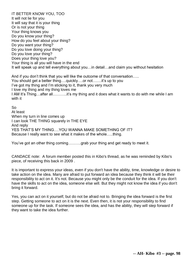IT BETTER KNOW YOU, TOO It will not lie for you It will say that it is your thing Or is not your thing Your thing knows you Do you know your thing? How do you feel about your thing? Do you want your thing? Do you love doing your thing? Do you love your thing? Does your thing love you? Your thing is all you will have in the end It will speak up and tell everything about you…in detail…and claim you without hesitation

And if you don't think that you will like the outcome of that conversation….. You should get a better thing….quickly….or not…….it's up to you I've got my thing and I'm sticking to it, thank you very much I love my thing and my thing loves me I AM It's Thing…after all………..it's my thing and it does what it wants to do with me while I am with it

So At least When my turn in line comes up I can look THE THING squarely in THE EYE And reply YES THAT'S MY THING….YOU WANNA MAKE SOMETHING OF IT? Because I really want to see what it makes of the whole…..thing.

You've got an other thing coming……….grab your thing and get ready to meet it.

CANDACE note: A forum member posted this in Kibo's thread, as he was reminded by Kibo's piece, of receiving this back in 2009 .

It is important to express your ideas, even if you don't have the ability, time, knowledge or desire to take action on the idea. Many are afraid to put forward an idea because they think it will be their responsibility to act on it. It's not. Because you might only be the conduit for the idea. If you don't have the skills to act on the idea, someone else will. But they might not know the idea if you don't bring it forward.

Yes, you can act on it yourself, but do not be afraid not to. Bringing the idea forward is the first step. Getting someone to act on it is the next. Even then, it is not your responsibility to find someone up for the task. If someone sees the idea, and has the ability, they will step forward if they want to take the idea further.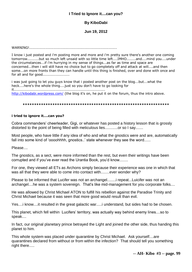### **I Tried to Ignore it....can you?**

### **By KiboDabi**

**Jun 19, 2012**

WARNING!...........................................................................

I know i just posted and i'm posting more and more and i'm pretty sure there's another one coming tomorrow..........but so much left unsaid with so little time left....IMHO........and....mind you....under the circumstances...if i'm hurrying in my sense of things...as far as time and space are concerned...then i will still have no choice but to go completely off and attack at will....and then some...on more fronts than they can handle until this thing is finished, over and done with once and for all and for good......................

i was just going to let you guys know that i posted another post on the blog...but...what the heck....here's the whole thing....just so you don't have to go looking for it.............................................................................. <http://kibodabi.wordpress.com/> (the blog it's on, he put it on the forum, thus the intro above.

#### **\*\*\*\*\*\*\*\*\*\*\*\*\*\*\*\*\*\*\*\*\*\*\*\*\*\*\*\*\*\*\*\*\*\*\*\*\*\*\*\*\*\*\*\*\*\*\*\*\*\*\*\*\*\*\*\*\*\*\*\*\*\*\*\***

#### **i tried to ignore it….can you?**

Cobra commanders' cheerleader, Gigi, or whatever has posted a history lesson that is grossly distorted to the point of being filled with meticulous lies.............or so I say.......

Most people, who have little if any idea of who and what the gnostics were and are, automatically fall into some kind of 'oooohhhh, gnostics..' state whenever they see the word......

**Please** 

The gnostics, as a sect, were more informed than the rest, but even their writings have been corrupted and if you've ever read the Urantia Book, you'd know........

For one, they viewed all ETs as Archons simply because their experience was one in which that was all that they were able to come into contact with........ever wonder why?

Please to be informed that Lucifer was not an archangel........i repeat...Luicifer was not an archangel....he was a system sovereign. That's like mid-management for you corporate folks....

He was allowed by Christ Michael ATON to fulfill his rebellion against the Paradise Trinity and Christ Michael because it was seen that more good would result than evil.

Yes....i know....it resulted in the great galactic war.....i understand, but sides had to be chosen.

This planet, which fell within Lucifers' territory, was actually way behind enemy lines....so to speak....

In fact, our original planetary prince betrayed the Light and joined the other side, thus handing this planet to him.

This whole system was placed under quarantine by Christ Michael. Ask yourself....are quarantines declared from without or from within the infection? That should tell you something right there.....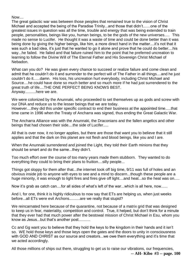#### Now....

The great galactic war was between those peoples that remained true to the vision of Christ Michael and accepted the being of the Paradise Trinity...and those that didn't.......one of the greatest issues in question was all the time, trouble and energy that was being extended to train people, personalities, beings like you, human beings, to be the gods of the new universes..... This made no sense to Lucifer. He thought it was a waste of time and could be done better than it was being done by giving the higher beings, like him, a more direct hand in the matter....it's not that it was such a bad idea, it's just that he wanted to go it alone and prove that he could do better....his way...he failed. He failed and that failure ruined him to the point that he preferred uncreation to learning to follow the Divine Will of The Eternal Father and His Sovereign Christ Michael of Nebadon.

What can you do? He was given every chance to succeed or realize failure and come clean and admit that he couldn't do it and surrender to the perfect will of The Father in all things....and he just couldn't do it......damn. His loss, his uncreation hurt everybody, including Christ Michael and Source....he could have done so much better and so much more if he had just surrendered to the great truth of life....THE ONE PERFECT BEING KNOWS BEST. Anyway..........here we are.

We were colonized by the Anunnaki, who proceeded to set themselves up as gods and screw with our DNA and reduce us to the lesser beings that we are today.

However....they did this under specific contract to end their business at the appointed time.....that time came in 1996 when the Treaty of Ancharra was signed, thus ending the Great Galactic War.

The Ancharra Alliance was with the Anunnaki, the Draconians and the fallen angelics and other beings that had chosen their side....the side of Lucifer.....

All that is over now, it no longer applies, but there are those that want you to believe that it still applies and that the dark on this planet are not flesh and blood beings, like you and I are.

When the Anunnaki surrendered and joined the Light, they told their Earth minions that they should be smart and do the same...they didn't.

Too much effort over the course of too many years made them stubborn. They wanted to do everything they could to bring their plans to fruition....silly people...

Things got sloppy for them after that...the internet took off big time, 9/11 was full of holes and an obvious inside job to anyone with eyes to see and a mind to discern...though these people are a huge minority, it was enough to light fires and fires give off light....and heat...so the heat was on.....

Now it's grab as catch can....for all sides of what's left of the war...which is all here, now......

And I, for one, think it is highly ridiculous to now say that ETs are helping us, when just weeks before...all ETs were evil Archons..........are we really that stupid?

We reincarnated here because of the quarantine, not because of a matrix grid that was designed to keep us in fear, materiality, competition and control. True, it helped, but don't think for a minute that they ever had that much power after the bestowal mission of Christ Michael in Esu, whom you know as Jesus...but that's another post...........

Cc and Gg want you to believe that they hold the keys to the kingdom in their hands and it isn't so. WE hold those keys and those keys open the gates and the doors to unity in consciousness with GOD AND CHRIST as our source and creators...we owe them everything and it's time that we acted accordingly.

**-- AH- Kibo #3 -- page. 100** All those millions of ships out there, struggling to get us to raise our vibrations, our frequencies,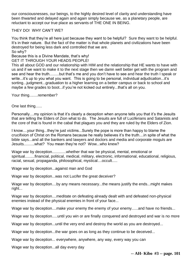our consciousnesses, our beings, to the highly desired level of clarity and understanding have been thwarted and delayed again and again simply because we, as a planetary people, are reluctant to accept our true place as servants of THE ONE IN BEING.

# THEY DO! WHY CAN'T WE?

You think that they're all here just because they want to be helpful? Sure they want to be helpful. It's in their nature. But the fact of the matter is that whole planets and civilizations have been destroyed for being less dark and controlled that we are. So why?

Because this is a Divine Mandate, that's why!

GET IT THROUGH YOUR HEADS PEOPLE!

This all about GOD and our relationship with HIM and the relationship that HE wants to have with us and if we want to make it to the next stage then we damn well better get with the program and see and hear the truth.........but that's me and you don't have to see and hear the truth I speak or write...it's up to you what you want. This is going to be personal, individual adjudication...it's sorting...judgment...graduation to a higher learning on a better campus or back to school and maybe a few grades to boot...if you're not kicked out entirely...that's all on you.

Your thing........remember?

One last thing......

Personally....my opinion is that it's clearly a deception when anyone tells you that it's the Jesuits that are telling the Elders of Zion what to do. The Jesuits are full of Luciferians and Satanists and the core of that is found in the cabal that plagues you and they are ruled by the Elders of Zion.

I know....your thing...they're just victims...Surely the pope is more than happy to blame the crucifixion of Christ on the Romans because he really believes it's the truth....in spite of what the bible says...and all the bankers and lawyers and doctors and media and corporate moguls are Jesuits..........what? You mean they're not? Wow...who knew?

Wage war by deception.............whether that war be physical, mental, emotional or spiritual.........financial, political, medical, military, electronic, informational, educational, religious, racial, sexual, propaganda, philosophical, mystical....occult.....

Wage war by deception...against man and God

Wage war by deception...was not Lucifer the great deceiver?

Wage war by deception....by any means necessary...the means justify the ends...might makes right...

Wage war by deception....meditate on defeating already dealt with and defeated non-physical enemies instead of the physical enemies in front of your face...

Wage war by deception....make your enemy the enemy of your enemy......and have no friends...

Wage war by deception.....until you win or are finally conquered and destroyed and war is no more

Wage war by deception...until the very end and destroy the world as you are destroyed...

Wage war by deception...the war goes on as long as they continue to be deceived...

Wage war by deception... everywhere, anywhere, any way, every way you can

Wage war by deception...all day every day